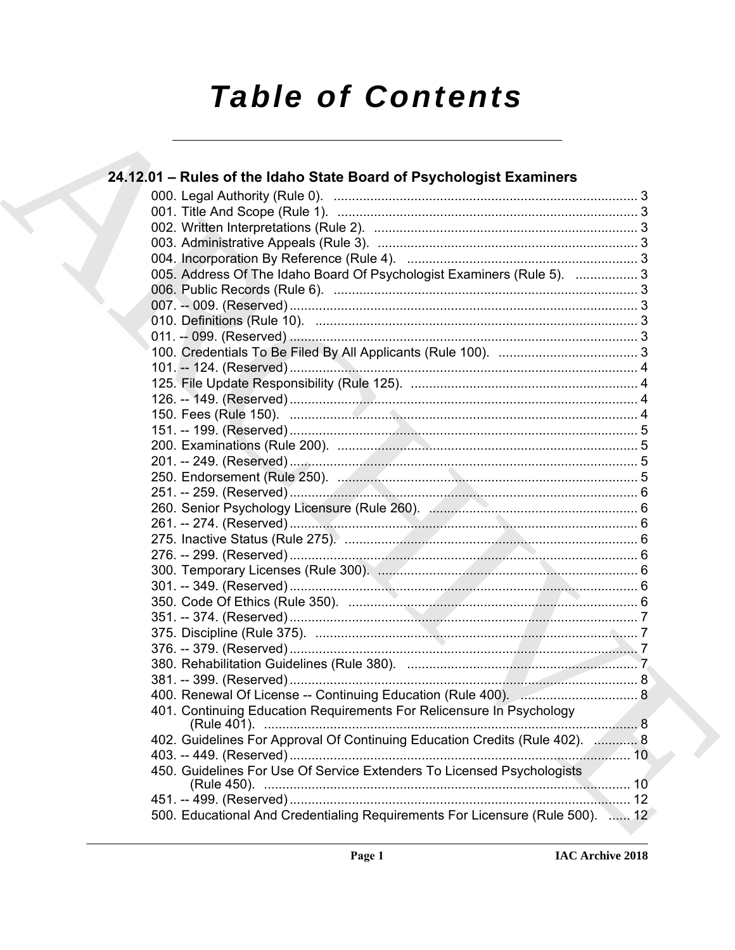# **Table of Contents**

| 24.12.01 - Rules of the Idaho State Board of Psychologist Examiners           |  |
|-------------------------------------------------------------------------------|--|
|                                                                               |  |
|                                                                               |  |
|                                                                               |  |
|                                                                               |  |
|                                                                               |  |
| 005. Address Of The Idaho Board Of Psychologist Examiners (Rule 5).  3        |  |
|                                                                               |  |
|                                                                               |  |
|                                                                               |  |
|                                                                               |  |
|                                                                               |  |
|                                                                               |  |
|                                                                               |  |
|                                                                               |  |
|                                                                               |  |
|                                                                               |  |
|                                                                               |  |
|                                                                               |  |
|                                                                               |  |
|                                                                               |  |
|                                                                               |  |
|                                                                               |  |
|                                                                               |  |
|                                                                               |  |
|                                                                               |  |
|                                                                               |  |
|                                                                               |  |
|                                                                               |  |
|                                                                               |  |
|                                                                               |  |
|                                                                               |  |
|                                                                               |  |
|                                                                               |  |
| 401. Continuing Education Requirements For Relicensure In Psychology          |  |
| 402. Guidelines For Approval Of Continuing Education Credits (Rule 402).  8   |  |
|                                                                               |  |
| 450. Guidelines For Use Of Service Extenders To Licensed Psychologists        |  |
|                                                                               |  |
| 500. Educational And Credentialing Requirements For Licensure (Rule 500).  12 |  |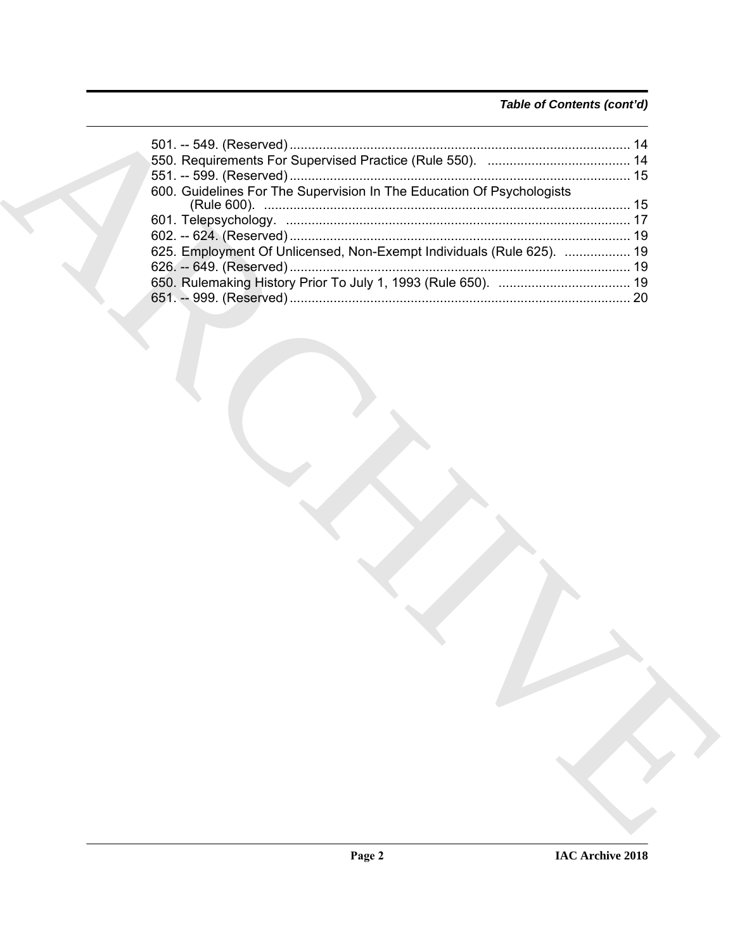### *Table of Contents (cont'd)*

| 600. Guidelines For The Supervision In The Education Of Psychologists |
|-----------------------------------------------------------------------|
|                                                                       |
|                                                                       |
| 625. Employment Of Unlicensed, Non-Exempt Individuals (Rule 625).  19 |
|                                                                       |
|                                                                       |
|                                                                       |
|                                                                       |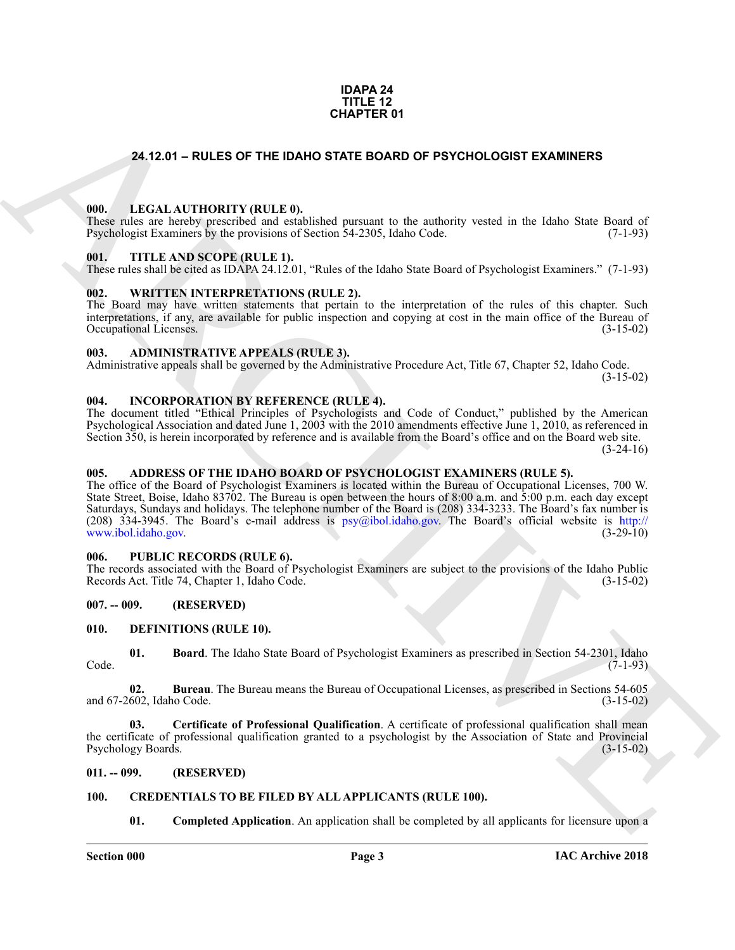#### **IDAPA 24 TITLE 12 CHAPTER 01**

#### <span id="page-2-21"></span><span id="page-2-0"></span>**24.12.01 – RULES OF THE IDAHO STATE BOARD OF PSYCHOLOGIST EXAMINERS**

#### <span id="page-2-1"></span>**000. LEGAL AUTHORITY (RULE 0).**

These rules are hereby prescribed and established pursuant to the authority vested in the Idaho State Board of Psychologist Examiners by the provisions of Section 54-2305, Idaho Code. (7-1-93)

#### <span id="page-2-23"></span><span id="page-2-2"></span>**001. TITLE AND SCOPE (RULE 1).**

These rules shall be cited as IDAPA 24.12.01, "Rules of the Idaho State Board of Psychologist Examiners." (7-1-93)

#### <span id="page-2-24"></span><span id="page-2-3"></span>**002. WRITTEN INTERPRETATIONS (RULE 2).**

The Board may have written statements that pertain to the interpretation of the rules of this chapter. Such interpretations, if any, are available for public inspection and copying at cost in the main office of the Bureau of Occupational Licenses. (3-15-02) Occupational Licenses.

#### <span id="page-2-13"></span><span id="page-2-4"></span>**003. ADMINISTRATIVE APPEALS (RULE 3).**

Administrative appeals shall be governed by the Administrative Procedure Act, Title 67, Chapter 52, Idaho Code.

(3-15-02)

#### <span id="page-2-20"></span><span id="page-2-5"></span>**004. INCORPORATION BY REFERENCE (RULE 4).**

The document titled "Ethical Principles of Psychologists and Code of Conduct," published by the American Psychological Association and dated June 1, 2003 with the 2010 amendments effective June 1, 2010, as referenced in Section 350, is herein incorporated by reference and is available from the Board's office and on the Board web site.

 $(3-24-16)$ 

#### <span id="page-2-12"></span><span id="page-2-6"></span>**005. ADDRESS OF THE IDAHO BOARD OF PSYCHOLOGIST EXAMINERS (RULE 5).**

**CHAPTER 01**<br> **CHAPTER 01**<br> **CHAPTER 01**<br> **CHAPTER 01**<br> **CHAPTER 01**<br> **CHAPTER CHAPTER CHAPTER CHAPTER EXAMPLE BOARD OF PSYCHOLOGIST EXAMPLERS**<br> **CHAPTER LAND SCOPE (RELET)**<br> **CHAPTER LAND SCOPE (RELET)**<br> **CHAPTER CHAPTER** The office of the Board of Psychologist Examiners is located within the Bureau of Occupational Licenses, 700 W. State Street, Boise, Idaho 83702. The Bureau is open between the hours of 8:00 a.m. and 5:00 p.m. each day except Saturdays, Sundays and holidays. The telephone number of the Board is (208) 334-3233. The Board's fax number is (208) 334-3945. The Board's e-mail address is  $psy@ibol.idaho.gov$ . The Board's official website is http://<br>www.ibol.idaho.gov. (3-29-10) www.ibol.idaho.gov.

#### <span id="page-2-22"></span><span id="page-2-7"></span>**006. PUBLIC RECORDS (RULE 6).**

The records associated with the Board of Psychologist Examiners are subject to the provisions of the Idaho Public Records Act. Title 74, Chapter 1, Idaho Code. (3-15-02) Records Act. Title 74, Chapter 1, Idaho Code.

#### <span id="page-2-8"></span>**007. -- 009. (RESERVED)**

#### <span id="page-2-16"></span><span id="page-2-9"></span>**010. DEFINITIONS (RULE 10).**

<span id="page-2-17"></span>**01. Board**. The Idaho State Board of Psychologist Examiners as prescribed in Section 54-2301, Idaho Code. (7-1-93)

<span id="page-2-18"></span>**02. Bureau**. The Bureau means the Bureau of Occupational Licenses, as prescribed in Sections 54-605 and 67-2602, Idaho Code. (3-15-02)

<span id="page-2-19"></span>**03. Certificate of Professional Qualification**. A certificate of professional qualification shall mean the certificate of professional qualification granted to a psychologist by the Association of State and Provincial Psychology Boards. (3-15-02)

#### <span id="page-2-10"></span>**011. -- 099. (RESERVED)**

#### <span id="page-2-11"></span>**100. CREDENTIALS TO BE FILED BY ALL APPLICANTS (RULE 100).**

<span id="page-2-15"></span><span id="page-2-14"></span>**01. Completed Application**. An application shall be completed by all applicants for licensure upon a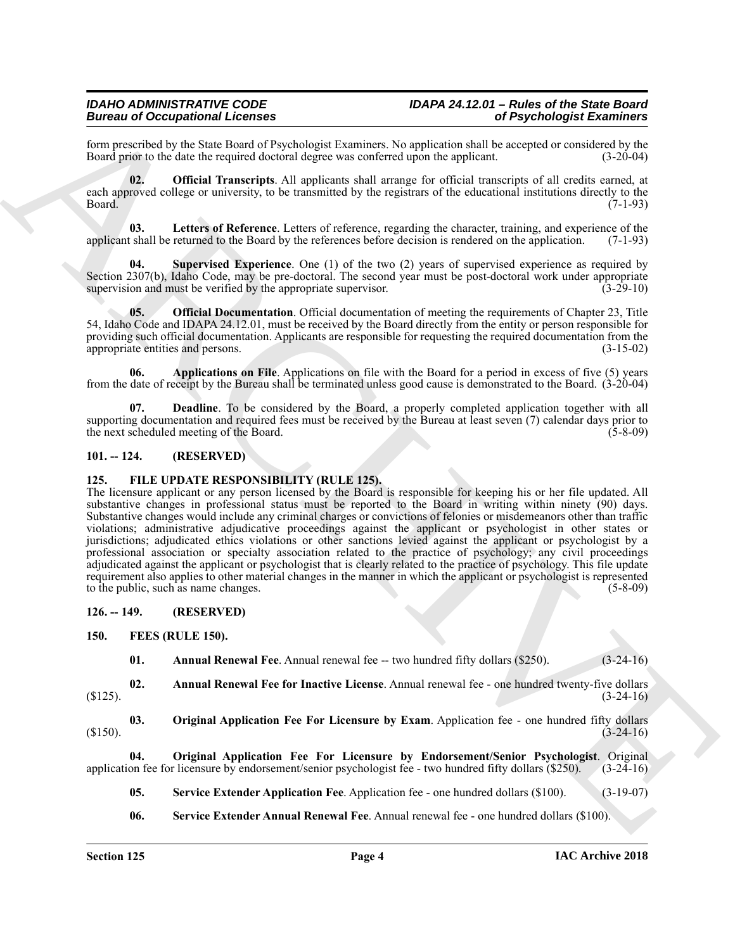form prescribed by the State Board of Psychologist Examiners. No application shall be accepted or considered by the Board prior to the date the required doctoral degree was conferred upon the applicant.

<span id="page-3-8"></span>**02. Official Transcripts**. All applicants shall arrange for official transcripts of all credits earned, at each approved college or university, to be transmitted by the registrars of the educational institutions directly to the Board. (7-1-93)

<span id="page-3-6"></span>**03. Letters of Reference**. Letters of reference, regarding the character, training, and experience of the applicant shall be returned to the Board by the references before decision is rendered on the application. (7-1-93)

<span id="page-3-9"></span>**04. Supervised Experience**. One (1) of the two (2) years of supervised experience as required by Section 2307(b), Idaho Code, may be pre-doctoral. The second year must be post-doctoral work under appropriate supervision and must be verified by the appropriate supervision. (3-29-10) supervision and must be verified by the appropriate supervisor.

<span id="page-3-7"></span>**05. Official Documentation**. Official documentation of meeting the requirements of Chapter 23, Title 54, Idaho Code and IDAPA 24.12.01, must be received by the Board directly from the entity or person responsible for providing such official documentation. Applicants are responsible for requesting the required documentation from the appropriate entities and persons. (3-15-02)

<span id="page-3-4"></span>**06. Applications on File**. Applications on file with the Board for a period in excess of five (5) years from the date of receipt by the Bureau shall be terminated unless good cause is demonstrated to the Board. (3-20-04)

<span id="page-3-5"></span>**07. Deadline**. To be considered by the Board, a properly completed application together with all supporting documentation and required fees must be received by the Bureau at least seven (7) calendar days prior to the next scheduled meeting of the Board. (5-8-09)

#### <span id="page-3-0"></span>**101. -- 124. (RESERVED)**

#### <span id="page-3-17"></span><span id="page-3-1"></span>**125. FILE UPDATE RESPONSIBILITY (RULE 125).**

Beaution de Comparison (Economics Comparison and Resolution and Resolution and Resolution and Resolution (ECONOMIC COMPART)<br>
Beaution state and the state and the state and the state and the state and the state and the sta The licensure applicant or any person licensed by the Board is responsible for keeping his or her file updated. All substantive changes in professional status must be reported to the Board in writing within ninety (90) days. Substantive changes would include any criminal charges or convictions of felonies or misdemeanors other than traffic violations; administrative adjudicative proceedings against the applicant or psychologist in other states or jurisdictions; adjudicated ethics violations or other sanctions levied against the applicant or psychologist by a professional association or specialty association related to the practice of psychology; any civil proceedings adjudicated against the applicant or psychologist that is clearly related to the practice of psychology. This file update requirement also applies to other material changes in the manner in which the applicant or psychologist is represented to the public, such as name changes. (5-8-09)

#### <span id="page-3-2"></span>**126. -- 149. (RESERVED)**

#### <span id="page-3-3"></span>**150. FEES (RULE 150).**

<span id="page-3-14"></span><span id="page-3-12"></span><span id="page-3-11"></span><span id="page-3-10"></span>**01.** Annual Renewal Fee. Annual renewal fee -- two hundred fifty dollars (\$250). (3-24-16)

**02. Annual Renewal Fee for Inactive License**. Annual renewal fee - one hundred twenty-five dollars  $(3-24-16)$ 

**03. Original Application Fee For Licensure by Exam**. Application fee - one hundred fifty dollars (3-24-16)  $(3-24-16)$ 

**04. Original Application Fee For Licensure by Endorsement/Senior Psychologist**. Original application fee for licensure by endorsement/senior psychologist fee - two hundred fifty dollars (\$250). (3-24-16)

<span id="page-3-16"></span><span id="page-3-13"></span>**05. Service Extender Application Fee**. Application fee - one hundred dollars (\$100). (3-19-07)

<span id="page-3-15"></span>**06. Service Extender Annual Renewal Fee**. Annual renewal fee - one hundred dollars (\$100).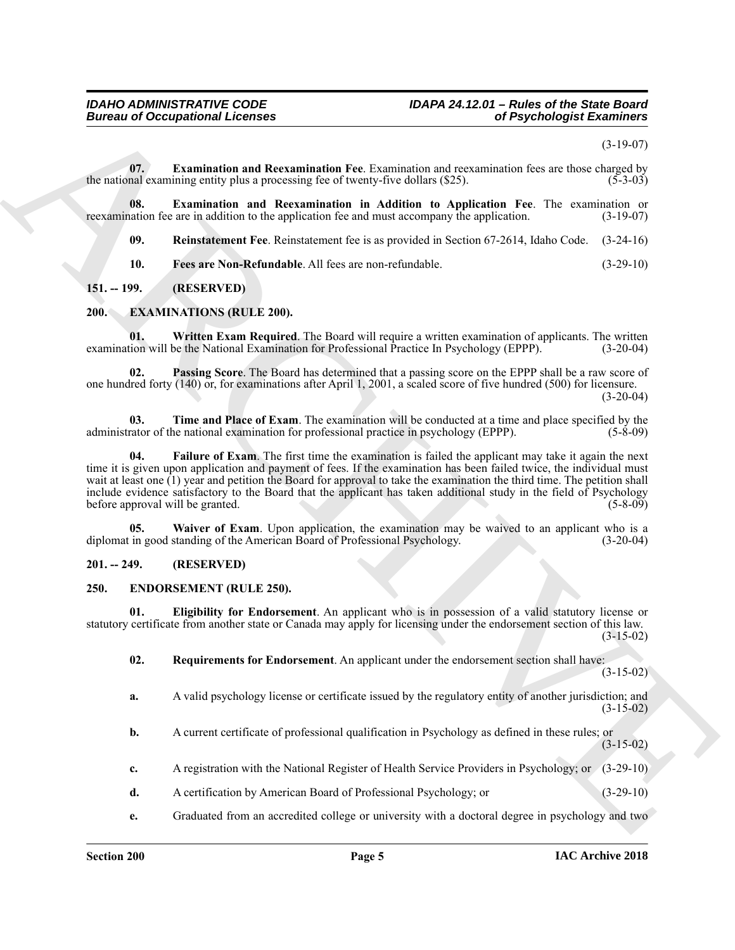(3-19-07)

<span id="page-4-13"></span>**07. Examination and Reexamination Fee**. Examination and reexamination fees are those charged by the national examining entity plus a processing fee of twenty-five dollars  $(\frac{525}{})$ . (5-3-03)

**08. Examination and Reexamination in Addition to Application Fee**. The examination or nation fee are in addition to the application fee and must accompany the application. (3-19-07) reexamination fee are in addition to the application fee and must accompany the application.

<span id="page-4-16"></span><span id="page-4-15"></span><span id="page-4-14"></span>**09. Reinstatement Fee**. Reinstatement fee is as provided in Section 67-2614, Idaho Code. (3-24-16)

<span id="page-4-12"></span><span id="page-4-7"></span>**10. Fees are Non-Refundable**. All fees are non-refundable. (3-29-10)

#### <span id="page-4-0"></span>**151. -- 199. (RESERVED)**

#### <span id="page-4-1"></span>**200. EXAMINATIONS (RULE 200).**

**01. Written Exam Required**. The Board will require a written examination of applicants. The written examination will be the National Examination for Professional Practice In Psychology (EPPP). (3-20-04)

<span id="page-4-9"></span>**02. Passing Score**. The Board has determined that a passing score on the EPPP shall be a raw score of one hundred forty (140) or, for examinations after April 1, 2001, a scaled score of five hundred (500) for licensure.  $(3-20-04)$ 

<span id="page-4-10"></span><span id="page-4-8"></span>**03. Time and Place of Exam**. The examination will be conducted at a time and place specified by the administrator of the national examination for professional practice in psychology (EPPP). (5-8-09)

Bureau of Occupational Lebens<br>
Contained and Recreational Fire Protocolonical procedures of Psychological Exercises<br>
Securities (5-19-20)<br>
Accounts be used as additional for the state of the contained and the energy of th **04. Failure of Exam**. The first time the examination is failed the applicant may take it again the next time it is given upon application and payment of fees. If the examination has been failed twice, the individual must wait at least one (1) year and petition the Board for approval to take the examination the third time. The petition shall include evidence satisfactory to the Board that the applicant has taken additional study in the field of Psychology before approval will be granted.

<span id="page-4-11"></span>**05. Waiver of Exam**. Upon application, the examination may be waived to an applicant who is a diplomat in good standing of the American Board of Professional Psychology. (3-20-04)

#### <span id="page-4-2"></span>**201. -- 249. (RESERVED)**

#### <span id="page-4-4"></span><span id="page-4-3"></span>**250. ENDORSEMENT (RULE 250).**

**01. Eligibility for Endorsement**. An applicant who is in possession of a valid statutory license or statutory certificate from another state or Canada may apply for licensing under the endorsement section of this law. (3-15-02)

<span id="page-4-6"></span><span id="page-4-5"></span>**02. Requirements for Endorsement**. An applicant under the endorsement section shall have:

 $(3-15-02)$ 

- **a.** A valid psychology license or certificate issued by the regulatory entity of another jurisdiction; and (3-15-02)
- **b.** A current certificate of professional qualification in Psychology as defined in these rules; or (3-15-02)
- **c.** A registration with the National Register of Health Service Providers in Psychology; or (3-29-10)
- **d.** A certification by American Board of Professional Psychology; or (3-29-10)
- **e.** Graduated from an accredited college or university with a doctoral degree in psychology and two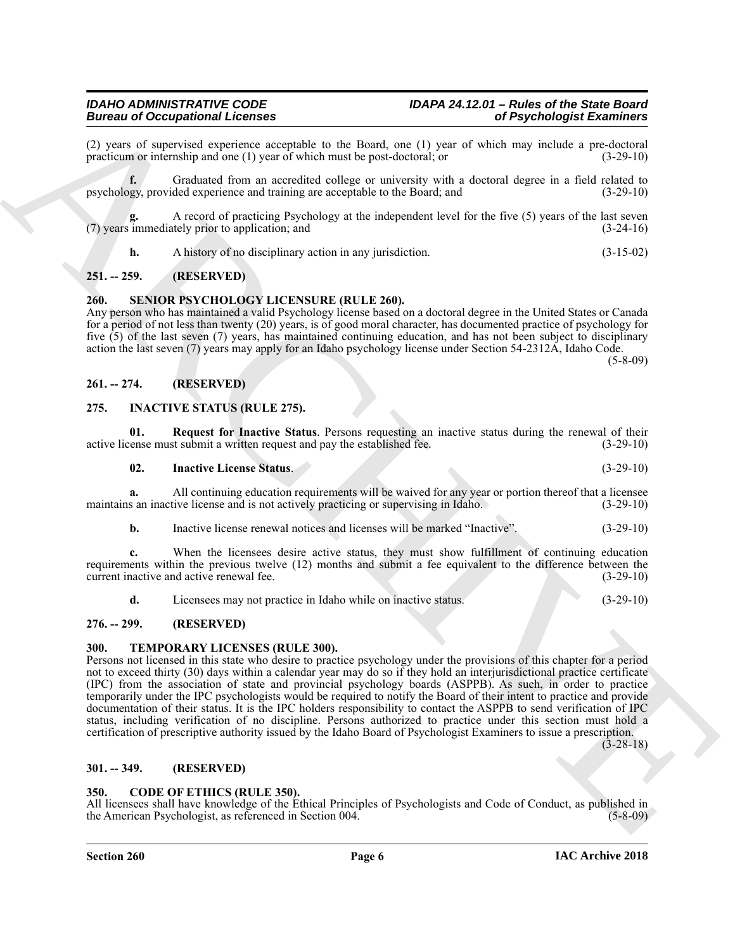(2) years of supervised experience acceptable to the Board, one (1) year of which may include a pre-doctoral practicum or internship and one (1) year of which must be post-doctoral; or practicum or internship and one  $(1)$  year of which must be post-doctoral; or

**f.** Graduated from an accredited college or university with a doctoral degree in a field related to psychology, provided experience and training are acceptable to the Board; and (3-29-10)

**g.** A record of practicing Psychology at the independent level for the five (5) years of the last seven (7) years immediately prior to application; and  $(3-24-16)$ 

<span id="page-5-12"></span>**h.** A history of no disciplinary action in any jurisdiction. (3-15-02)

#### <span id="page-5-0"></span>**251. -- 259. (RESERVED)**

#### <span id="page-5-1"></span>**260. SENIOR PSYCHOLOGY LICENSURE (RULE 260).**

Any person who has maintained a valid Psychology license based on a doctoral degree in the United States or Canada for a period of not less than twenty (20) years, is of good moral character, has documented practice of psychology for five (5) of the last seven (7) years, has maintained continuing education, and has not been subject to disciplinary action the last seven (7) years may apply for an Idaho psychology license under Section 54-2312A, Idaho Code.

 $(5 - 8 - 09)$ 

#### <span id="page-5-2"></span>**261. -- 274. (RESERVED)**

#### <span id="page-5-9"></span><span id="page-5-3"></span>**275. INACTIVE STATUS (RULE 275).**

**01.** Request for Inactive Status. Persons requesting an inactive status during the renewal of their vense must submit a written request and pay the established fee. (3-29-10) active license must submit a written request and pay the established fee.

<span id="page-5-11"></span><span id="page-5-10"></span>**02. Inactive License Status**. (3-29-10)

**a.** All continuing education requirements will be waived for any year or portion thereof that a licensee maintains an inactive license and is not actively practicing or supervising in Idaho. (3-29-10)

**b.** Inactive license renewal notices and licenses will be marked "Inactive". (3-29-10)

**c.** When the licensees desire active status, they must show fulfillment of continuing education requirements within the previous twelve (12) months and submit a fee equivalent to the difference between the current inactive and active renewal fee. (3-29-10)

<span id="page-5-13"></span>**d.** Licensees may not practice in Idaho while on inactive status. (3-29-10)

#### <span id="page-5-4"></span>**276. -- 299. (RESERVED)**

#### <span id="page-5-5"></span>**300. TEMPORARY LICENSES (RULE 300).**

**Example of Complete State 11.** Complete State 11. The specific of the specific state is the specific of the specific or the specific or the specific or the specific or the specific or the specific or the specific or the Persons not licensed in this state who desire to practice psychology under the provisions of this chapter for a period not to exceed thirty (30) days within a calendar year may do so if they hold an interjurisdictional practice certificate (IPC) from the association of state and provincial psychology boards (ASPPB). As such, in order to practice temporarily under the IPC psychologists would be required to notify the Board of their intent to practice and provide documentation of their status. It is the IPC holders responsibility to contact the ASPPB to send verification of IPC status, including verification of no discipline. Persons authorized to practice under this section must hold a certification of prescriptive authority issued by the Idaho Board of Psychologist Examiners to issue a prescription.

(3-28-18)

#### <span id="page-5-6"></span>**301. -- 349. (RESERVED)**

#### <span id="page-5-8"></span><span id="page-5-7"></span>**350. CODE OF ETHICS (RULE 350).**

All licensees shall have knowledge of the Ethical Principles of Psychologists and Code of Conduct, as published in the American Psychologist, as referenced in Section 004. (5-8-09)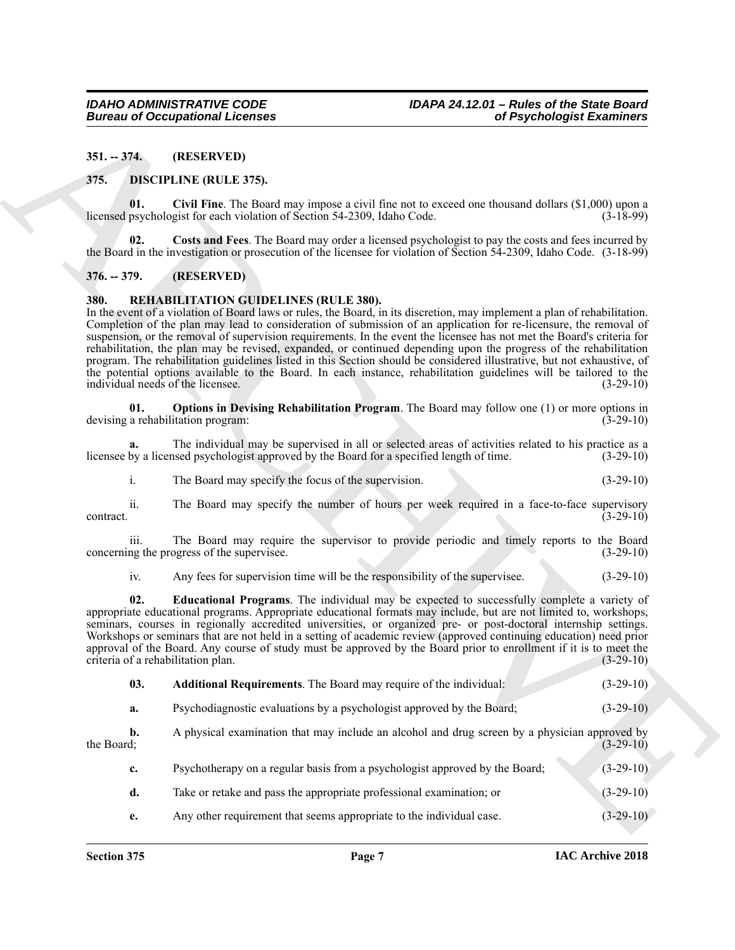<span id="page-6-0"></span>**351. -- 374. (RESERVED)**

#### <span id="page-6-5"></span><span id="page-6-4"></span><span id="page-6-1"></span>**375. DISCIPLINE (RULE 375).**

**01. Civil Fine**. The Board may impose a civil fine not to exceed one thousand dollars (\$1,000) upon a licensed psychologist for each violation of Section 54-2309, Idaho Code.

<span id="page-6-6"></span>**02. Costs and Fees**. The Board may order a licensed psychologist to pay the costs and fees incurred by the Board in the investigation or prosecution of the licensee for violation of Section 54-2309, Idaho Code. (3-18-99)

#### <span id="page-6-2"></span>**376. -- 379. (RESERVED)**

#### <span id="page-6-7"></span><span id="page-6-3"></span>**380. REHABILITATION GUIDELINES (RULE 380).**

**Europea of Occupational Licenses**<br>
31. TH<sub>1</sub> (REELINE (RELL 25).<br>
32. TH2 (REELINE (RELL 25).<br>
33. TH2 (REELINE (RELL 25).<br>
33. TH2 (REEL 26) TH2 (REEL 26) TH2 (REEL 26) TH2 (REEL 26) TH2 (REEL 26) TH2 (REEL 26) TH2 (REE In the event of a violation of Board laws or rules, the Board, in its discretion, may implement a plan of rehabilitation. Completion of the plan may lead to consideration of submission of an application for re-licensure, the removal of suspension, or the removal of supervision requirements. In the event the licensee has not met the Board's criteria for rehabilitation, the plan may be revised, expanded, or continued depending upon the progress of the rehabilitation program. The rehabilitation guidelines listed in this Section should be considered illustrative, but not exhaustive, of the potential options available to the Board. In each instance, rehabilitation guidelines will be tailored to the individual needs of the licensee. (3-29-10)

<span id="page-6-10"></span>**01. Options in Devising Rehabilitation Program**. The Board may follow one (1) or more options in devising a rehabilitation program: (3-29-10)

**a.** The individual may be supervised in all or selected areas of activities related to his practice as a licensee by a licensed psychologist approved by the Board for a specified length of time. (3-29-10)

i. The Board may specify the focus of the supervision. (3-29-10)

ii. The Board may specify the number of hours per week required in a face-to-face supervisory  $(3-29-10)$ 

iii. The Board may require the supervisor to provide periodic and timely reports to the Board ng the progress of the supervisee. (3-29-10) concerning the progress of the supervisee.

<span id="page-6-9"></span>iv. Any fees for supervision time will be the responsibility of the supervisee. (3-29-10)

**02. Educational Programs**. The individual may be expected to successfully complete a variety of appropriate educational programs. Appropriate educational formats may include, but are not limited to, workshops, seminars, courses in regionally accredited universities, or organized pre- or post-doctoral internship settings. Workshops or seminars that are not held in a setting of academic review (approved continuing education) need prior approval of the Board. Any course of study must be approved by the Board prior to enrollment if it is to meet the criteria of a rehabilitation plan. (3-29-10) criteria of a rehabilitation plan.

<span id="page-6-8"></span>

| 03. | <b>Additional Requirements.</b> The Board may require of the individual: |  |  |  |  |  | $(3-29-10)$ |
|-----|--------------------------------------------------------------------------|--|--|--|--|--|-------------|
|-----|--------------------------------------------------------------------------|--|--|--|--|--|-------------|

**a.** Psychodiagnostic evaluations by a psychologist approved by the Board; (3-29-10)

**b.** A physical examination that may include an alcohol and drug screen by a physician approved by the Board: (3-29-10) the Board;  $(3-29-10)$ 

| $\mathbf{c}$ . | Psychotherapy on a regular basis from a psychologist approved by the Board; | $(3-29-10)$ |
|----------------|-----------------------------------------------------------------------------|-------------|
|                | Take or retake and pass the appropriate professional examination; or        | $(3-29-10)$ |
|                | Any other requirement that seems appropriate to the individual case.        | $(3-29-10)$ |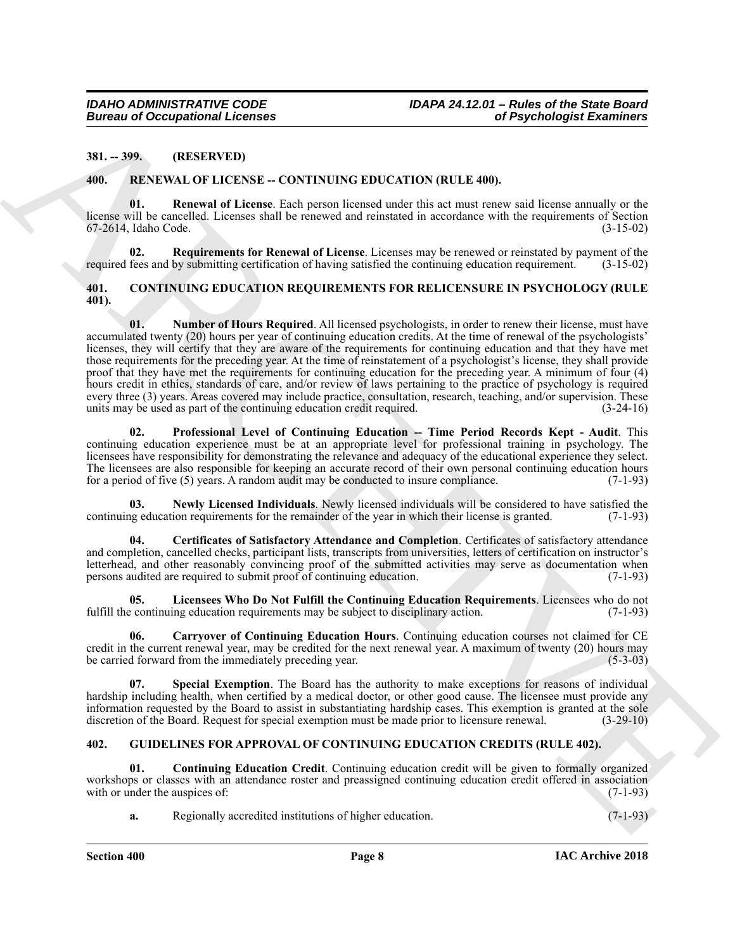#### <span id="page-7-0"></span>**381. -- 399. (RESERVED)**

#### <span id="page-7-15"></span><span id="page-7-14"></span><span id="page-7-1"></span>**400. RENEWAL OF LICENSE -- CONTINUING EDUCATION (RULE 400).**

**01. Renewal of License**. Each person licensed under this act must renew said license annually or the license will be cancelled. Licenses shall be renewed and reinstated in accordance with the requirements of Section 67-2614, Idaho Code. (3-15-02)

<span id="page-7-16"></span>**02. Requirements for Renewal of License**. Licenses may be renewed or reinstated by payment of the required fees and by submitting certification of having satisfied the continuing education requirement. (3-15-02)

#### <span id="page-7-9"></span><span id="page-7-4"></span><span id="page-7-2"></span>**401. CONTINUING EDUCATION REQUIREMENTS FOR RELICENSURE IN PSYCHOLOGY (RULE 401).**

Bureau of Occupational Leonies<br>
3H. 299. (RESERVAL OP LICENSE - CONTROLING EDUCATION (RULE 400).<br>
40. FR. VENAL OP LICENSE - CONTROLING EDUCATION (RULE 400).<br>
40. FR. VENAL OP LICENSE - CONTROLING EDUCATION (RULE 400).<br>
4 **01. Number of Hours Required**. All licensed psychologists, in order to renew their license, must have accumulated twenty (20) hours per year of continuing education credits. At the time of renewal of the psychologists' licenses, they will certify that they are aware of the requirements for continuing education and that they have met those requirements for the preceding year. At the time of reinstatement of a psychologist's license, they shall provide proof that they have met the requirements for continuing education for the preceding year. A minimum of four (4) hours credit in ethics, standards of care, and/or review of laws pertaining to the practice of psychology is required every three (3) years. Areas covered may include practice, consultation, research, teaching, and/or supervision. These units may be used as part of the continuing education credit required. (3-24-16) units may be used as part of the continuing education credit required.

<span id="page-7-10"></span>**02. Professional Level of Continuing Education -- Time Period Records Kept - Audit**. This continuing education experience must be at an appropriate level for professional training in psychology. The licensees have responsibility for demonstrating the relevance and adequacy of the educational experience they select. The licensees are also responsible for keeping an accurate record of their own personal continuing education hours for a period of five (5) years. A random audit may be conducted to insure compliance. (7-1-93)

<span id="page-7-8"></span>**03. Newly Licensed Individuals**. Newly licensed individuals will be considered to have satisfied the continuing education requirements for the remainder of the year in which their license is granted. (7-1-93)

<span id="page-7-6"></span>**04. Certificates of Satisfactory Attendance and Completion**. Certificates of satisfactory attendance and completion, cancelled checks, participant lists, transcripts from universities, letters of certification on instructor's letterhead, and other reasonably convincing proof of the submitted activities may serve as documentation when persons audited are required to submit proof of continuing education. (7-1-93)

<span id="page-7-7"></span>**05.** Licensees Who Do Not Fulfill the Continuing Education Requirements. Licensees who do not continuing education requirements may be subject to disciplinary action. (7-1-93) fulfill the continuing education requirements may be subject to disciplinary action.

<span id="page-7-5"></span>**06. Carryover of Continuing Education Hours**. Continuing education courses not claimed for CE credit in the current renewal year, may be credited for the next renewal year. A maximum of twenty (20) hours may be carried forward from the immediately preceding year. be carried forward from the immediately preceding year.

<span id="page-7-11"></span>**07. Special Exemption**. The Board has the authority to make exceptions for reasons of individual hardship including health, when certified by a medical doctor, or other good cause. The licensee must provide any information requested by the Board to assist in substantiating hardship cases. This exemption is granted at the sole discretion of the Board. Request for special exemption must be made prior to licensure renewal. (3-29-10)

#### <span id="page-7-12"></span><span id="page-7-3"></span>**402. GUIDELINES FOR APPROVAL OF CONTINUING EDUCATION CREDITS (RULE 402).**

**01. Continuing Education Credit**. Continuing education credit will be given to formally organized workshops or classes with an attendance roster and preassigned continuing education credit offered in association with or under the auspices of: (7-1-93) with or under the auspices of:

<span id="page-7-13"></span>**a.** Regionally accredited institutions of higher education. (7-1-93)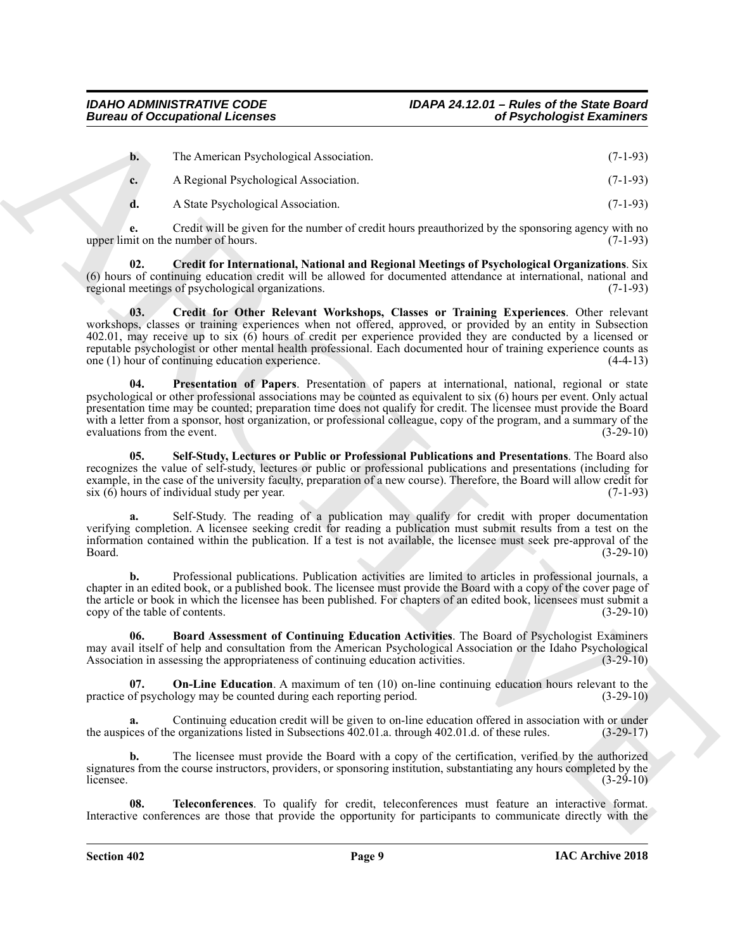| $\mathbf{b}$ . | The American Psychological Association. | $(7-1-93)$ |
|----------------|-----------------------------------------|------------|
| $c_{\star}$    | A Regional Psychological Association.   | $(7-1-93)$ |
|                | A State Psychological Association.      | $(7-1-93)$ |

**e.** Credit will be given for the number of credit hours preauthorized by the sponsoring agency with no upper limit on the number of hours.  $(7-1-93)$ 

<span id="page-8-2"></span><span id="page-8-1"></span>**02. Credit for International, National and Regional Meetings of Psychological Organizations**. Six (6) hours of continuing education credit will be allowed for documented attendance at international, national and regional meetings of psychological organizations.  $(7-1-93)$ regional meetings of psychological organizations.

Bureau of Occupational Lebence<br>
The American Developed Association.<br>
A Regional Developed Association.<br>
A Regional Developed Association.<br>
A Regional Developed Association.<br>
A Regional Developed Association.<br>
A Regional D **03. Credit for Other Relevant Workshops, Classes or Training Experiences**. Other relevant workshops, classes or training experiences when not offered, approved, or provided by an entity in Subsection 402.01, may receive up to six (6) hours of credit per experience provided they are conducted by a licensed or reputable psychologist or other mental health professional. Each documented hour of training experience counts as one (1) hour of continuing education experience. (4-4-13)

<span id="page-8-4"></span>**04. Presentation of Papers**. Presentation of papers at international, national, regional or state psychological or other professional associations may be counted as equivalent to six (6) hours per event. Only actual presentation time may be counted; preparation time does not qualify for credit. The licensee must provide the Board with a letter from a sponsor, host organization, or professional colleague, copy of the program, and a summary of the evaluations from the event. (3-29-10)

<span id="page-8-5"></span>**05. Self-Study, Lectures or Public or Professional Publications and Presentations**. The Board also recognizes the value of self-study, lectures or public or professional publications and presentations (including for example, in the case of the university faculty, preparation of a new course). Therefore, the Board will allow credit for six (6) hours of individual study per year. (7-1-93)

**a.** Self-Study. The reading of a publication may qualify for credit with proper documentation verifying completion. A licensee seeking credit for reading a publication must submit results from a test on the information contained within the publication. If a test is not available, the licensee must seek pre-approval of the Board. (3-29-10)

**b.** Professional publications. Publication activities are limited to articles in professional journals, a chapter in an edited book, or a published book. The licensee must provide the Board with a copy of the cover page of the article or book in which the licensee has been published. For chapters of an edited book, licensees must submit a copy of the table of contents. (3-29-10) copy of the table of contents.

<span id="page-8-0"></span>**06. Board Assessment of Continuing Education Activities**. The Board of Psychologist Examiners may avail itself of help and consultation from the American Psychological Association or the Idaho Psychological<br>Association in assessing the appropriateness of continuing education activities. (3-29-10) Association in assessing the appropriateness of continuing education activities.

<span id="page-8-3"></span>**On-Line Education.** A maximum of ten (10) on-line continuing education hours relevant to the practice of psychology may be counted during each reporting period. (3-29-10)

Continuing education credit will be given to on-line education offered in association with or under e organizations listed in Subsections 402.01.a. through 402.01.d. of these rules. (3-29-17) the auspices of the organizations listed in Subsections 402.01.a. through 402.01.d. of these rules.

**b.** The licensee must provide the Board with a copy of the certification, verified by the authorized signatures from the course instructors, providers, or sponsoring institution, substantiating any hours completed by the licensee. (3-29-10) licensee.  $(3-29-10)$ 

<span id="page-8-6"></span>**08. Teleconferences**. To qualify for credit, teleconferences must feature an interactive format. Interactive conferences are those that provide the opportunity for participants to communicate directly with the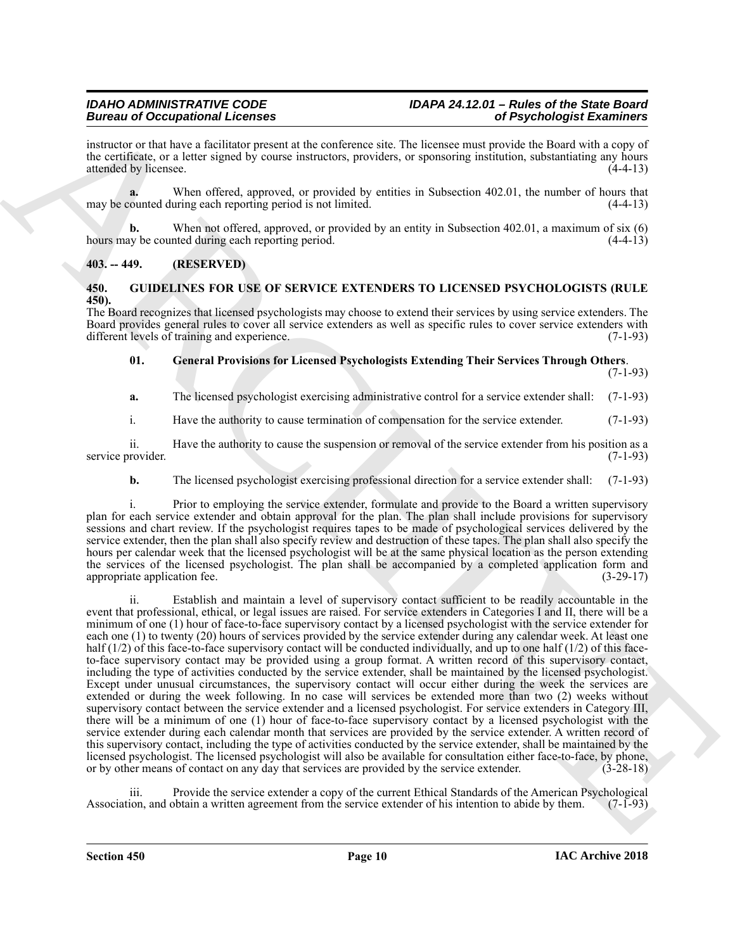instructor or that have a facilitator present at the conference site. The licensee must provide the Board with a copy of the certificate, or a letter signed by course instructors, providers, or sponsoring institution, substantiating any hours attended by licensee. (4-4-13)

**a.** When offered, approved, or provided by entities in Subsection 402.01, the number of hours that may be counted during each reporting period is not limited. (4-4-13)

**b.** When not offered, approved, or provided by an entity in Subsection 402.01, a maximum of six (6) hours may be counted during each reporting period. (4-4-13)

#### <span id="page-9-0"></span>**403. -- 449. (RESERVED)**

#### <span id="page-9-2"></span><span id="page-9-1"></span>**450. GUIDELINES FOR USE OF SERVICE EXTENDERS TO LICENSED PSYCHOLOGISTS (RULE 450).**

The Board recognizes that licensed psychologists may choose to extend their services by using service extenders. The Board provides general rules to cover all service extenders as well as specific rules to cover service extenders with different levels of training and experience. (7-1-93) different levels of training and experience.

<span id="page-9-3"></span>**01. General Provisions for Licensed Psychologists Extending Their Services Through Others**. (7-1-93)

**a.** The licensed psychologist exercising administrative control for a service extender shall: (7-1-93)

i. Have the authority to cause termination of compensation for the service extender. (7-1-93)

ii. Have the authority to cause the suspension or removal of the service extender from his position as a service provider. (7-1-93)

**b.** The licensed psychologist exercising professional direction for a service extender shall: (7-1-93)

i. Prior to employing the service extender, formulate and provide to the Board a written supervisory plan for each service extender and obtain approval for the plan. The plan shall include provisions for supervisory sessions and chart review. If the psychologist requires tapes to be made of psychological services delivered by the service extender, then the plan shall also specify review and destruction of these tapes. The plan shall also specify the hours per calendar week that the licensed psychologist will be at the same physical location as the person extending the services of the licensed psychologist. The plan shall be accompanied by a completed application form and appropriate application fee. (3-29-17)

Beative of Occupationistic Control de Residents and the street of Psychological Exercises<br>
are the street of the street of the street of the street of the street of the street of the street of the street of the street of Establish and maintain a level of supervisory contact sufficient to be readily accountable in the event that professional, ethical, or legal issues are raised. For service extenders in Categories I and II, there will be a minimum of one (1) hour of face-to-face supervisory contact by a licensed psychologist with the service extender for each one (1) to twenty (20) hours of services provided by the service extender during any calendar week. At least one half  $(1/2)$  of this face-to-face supervisory contact will be conducted individually, and up to one half  $(1/2)$  of this faceto-face supervisory contact may be provided using a group format. A written record of this supervisory contact, including the type of activities conducted by the service extender, shall be maintained by the licensed psychologist. Except under unusual circumstances, the supervisory contact will occur either during the week the services are extended or during the week following. In no case will services be extended more than two (2) weeks without supervisory contact between the service extender and a licensed psychologist. For service extenders in Category III, there will be a minimum of one (1) hour of face-to-face supervisory contact by a licensed psychologist with the service extender during each calendar month that services are provided by the service extender. A written record of this supervisory contact, including the type of activities conducted by the service extender, shall be maintained by the licensed psychologist. The licensed psychologist will also be available for consultation either face-to-face, by phone, or by other means of contact on any day that services are provided by the service extender. (3-28-18)

iii. Provide the service extender a copy of the current Ethical Standards of the American Psychological Association, and obtain a written agreement from the service extender of his intention to abide by them. (7-1-93)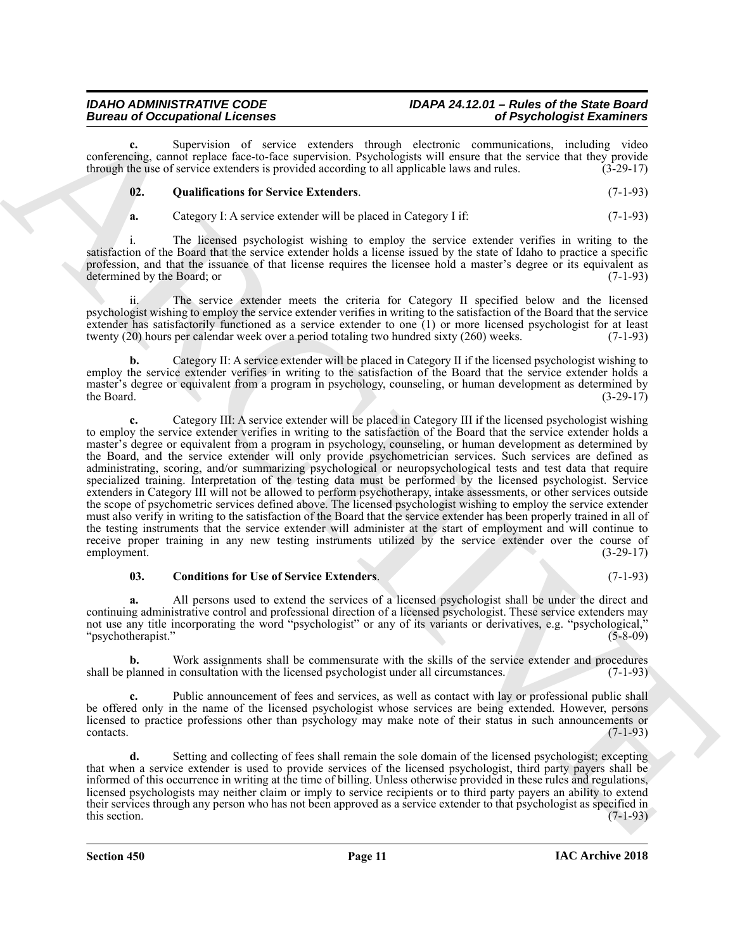## *Bureau of Occupational Licenses of Psychologist Examiners*

Supervision of service extenders through electronic communications, including video conferencing, cannot replace face-to-face supervision. Psychologists will ensure that the service that they provide through the use of service extenders is provided according to all applicable laws and rules. (3-29-17)

#### <span id="page-10-1"></span>**02. Qualifications for Service Extenders**. (7-1-93)

**a.** Category I: A service extender will be placed in Category I if: (7-1-93)

i. The licensed psychologist wishing to employ the service extender verifies in writing to the satisfaction of the Board that the service extender holds a license issued by the state of Idaho to practice a specific profession, and that the issuance of that license requires the licensee hold a master's degree or its equivalent as determined by the Board; or (7-1-93)

The service extender meets the criteria for Category II specified below and the licensed psychologist wishing to employ the service extender verifies in writing to the satisfaction of the Board that the service extender has satisfactorily functioned as a service extender to one  $(1)$  or more licensed psychologist for at least twenty (20) hours per calendar week over a period totaling two hundred sixty (260) weeks.  $(7-1-93)$ twenty (20) hours per calendar week over a period totaling two hundred sixty (260) weeks.

**b.** Category II: A service extender will be placed in Category II if the licensed psychologist wishing to employ the service extender verifies in writing to the satisfaction of the Board that the service extender holds a master's degree or equivalent from a program in psychology, counseling, or human development as determined by the Board. (3-29-17) the Board.  $(3-29-17)$ 

Bureau of Contemposition Licences<br>
Survey in the system of Prove equations having the stress communities and the system of Prove equations and the system of the system of the system of the system of the system of the syst **c.** Category III: A service extender will be placed in Category III if the licensed psychologist wishing to employ the service extender verifies in writing to the satisfaction of the Board that the service extender holds a master's degree or equivalent from a program in psychology, counseling, or human development as determined by the Board, and the service extender will only provide psychometrician services. Such services are defined as administrating, scoring, and/or summarizing psychological or neuropsychological tests and test data that require specialized training. Interpretation of the testing data must be performed by the licensed psychologist. Service extenders in Category III will not be allowed to perform psychotherapy, intake assessments, or other services outside the scope of psychometric services defined above. The licensed psychologist wishing to employ the service extender must also verify in writing to the satisfaction of the Board that the service extender has been properly trained in all of the testing instruments that the service extender will administer at the start of employment and will continue to receive proper training in any new testing instruments utilized by the service extender over the course of employment. (3-29-17) employment.

#### <span id="page-10-0"></span>**03. Conditions for Use of Service Extenders**. (7-1-93)

**a.** All persons used to extend the services of a licensed psychologist shall be under the direct and continuing administrative control and professional direction of a licensed psychologist. These service extenders may not use any title incorporating the word "psychologist" or any of its variants or derivatives, e.g. "psychological," "psychotherapist." (5-8-09)

**b.** Work assignments shall be commensurate with the skills of the service extender and procedures shall be planned in consultation with the licensed psychologist under all circumstances. (7-1-93)

Public announcement of fees and services, as well as contact with lay or professional public shall be offered only in the name of the licensed psychologist whose services are being extended. However, persons licensed to practice professions other than psychology may make note of their status in such announcements or contacts. (7-1-93)  $\text{constants.}$  (7-1-93)

**d.** Setting and collecting of fees shall remain the sole domain of the licensed psychologist; excepting that when a service extender is used to provide services of the licensed psychologist, third party payers shall be informed of this occurrence in writing at the time of billing. Unless otherwise provided in these rules and regulations, licensed psychologists may neither claim or imply to service recipients or to third party payers an ability to extend their services through any person who has not been approved as a service extender to that psychologist as specified in this section.  $(7-1-93)$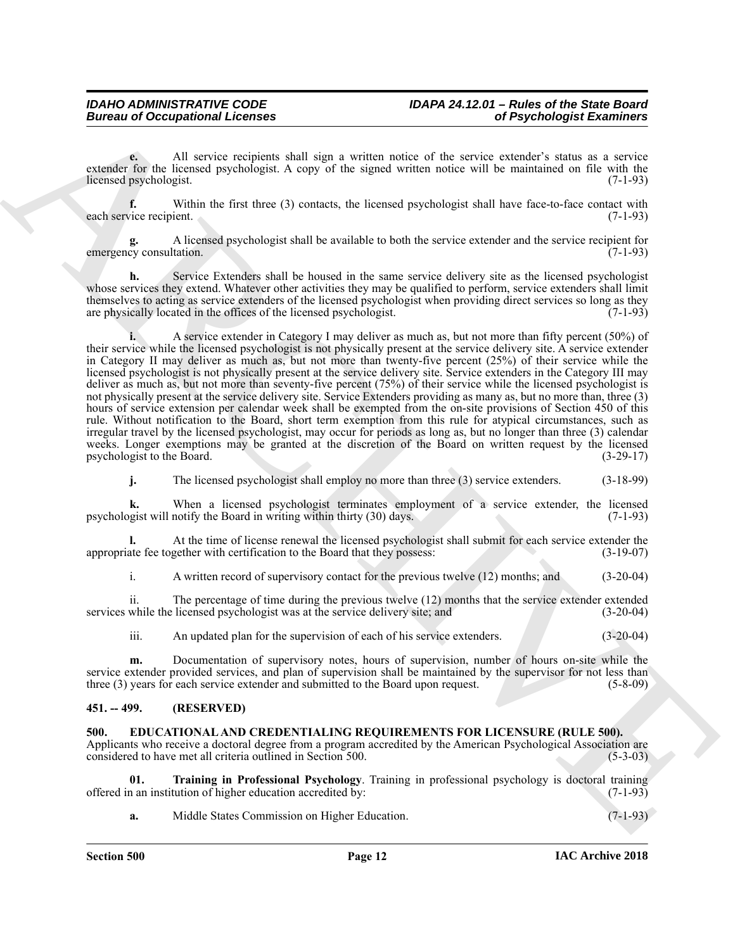**e.** All service recipients shall sign a written notice of the service extender's status as a service extender for the licensed psychologist. A copy of the signed written notice will be maintained on file with the licensed psychologist. (7-1-93)

**f.** Within the first three (3) contacts, the licensed psychologist shall have face-to-face contact with vice recipient. (7-1-93) each service recipient.

**g.** A licensed psychologist shall be available to both the service extender and the service recipient for emergency consultation. (7-1-93)

Service Extenders shall be housed in the same service delivery site as the licensed psychologist whose services they extend. Whatever other activities they may be qualified to perform, service extenders shall limit themselves to acting as service extenders of the licensed psychologist when providing direct services so long as they are physically located in the offices of the licensed psychologist. (7-1-93)

Bureau of Occupational Licenses<br>
The strain of the strain and the strain and the strain and the strain and the strain and the strain and the strain and the strain and the strain and the strain and the strain and the strai **i.** A service extender in Category I may deliver as much as, but not more than fifty percent (50%) of their service while the licensed psychologist is not physically present at the service delivery site. A service extender in Category II may deliver as much as, but not more than twenty-five percent (25%) of their service while the licensed psychologist is not physically present at the service delivery site. Service extenders in the Category III may deliver as much as, but not more than seventy-five percent (75%) of their service while the licensed psychologist is not physically present at the service delivery site. Service Extenders providing as many as, but no more than, three (3) hours of service extension per calendar week shall be exempted from the on-site provisions of Section 450 of this rule. Without notification to the Board, short term exemption from this rule for atypical circumstances, such as irregular travel by the licensed psychologist, may occur for periods as long as, but no longer than three (3) calendar weeks. Longer exemptions may be granted at the discretion of the Board on written request by the licensed psychologist to the Board. (3-29-17)

**j.** The licensed psychologist shall employ no more than three (3) service extenders. (3-18-99)

**k.** When a licensed psychologist terminates employment of a service extender, the licensed psychologist will notify the Board in writing within thirty (30) days. (7-1-93)

**l.** At the time of license renewal the licensed psychologist shall submit for each service extender the ate fee together with certification to the Board that they possess: (3-19-07) appropriate fee together with certification to the Board that they possess:

i. A written record of supervisory contact for the previous twelve (12) months; and (3-20-04)

ii. The percentage of time during the previous twelve (12) months that the service extender extended while the licensed psychologist was at the service delivery site; and (3-20-04) services while the licensed psychologist was at the service delivery site; and

iii. An updated plan for the supervision of each of his service extenders. (3-20-04)

**m.** Documentation of supervisory notes, hours of supervision, number of hours on-site while the service extender provided services, and plan of supervision shall be maintained by the supervisor for not less than three (3) years for each service extender and submitted to the Board upon request. (5-8-09) three  $(3)$  years for each service extender and submitted to the Board upon request.

#### <span id="page-11-0"></span>**451. -- 499. (RESERVED)**

#### <span id="page-11-2"></span><span id="page-11-1"></span>**500. EDUCATIONAL AND CREDENTIALING REQUIREMENTS FOR LICENSURE (RULE 500).**

Applicants who receive a doctoral degree from a program accredited by the American Psychological Association are considered to have met all criteria outlined in Section 500. (5-3-03)

**01. Training in Professional Psychology**. Training in professional psychology is doctoral training offered in an institution of higher education accredited by:

<span id="page-11-3"></span>**a.** Middle States Commission on Higher Education. (7-1-93)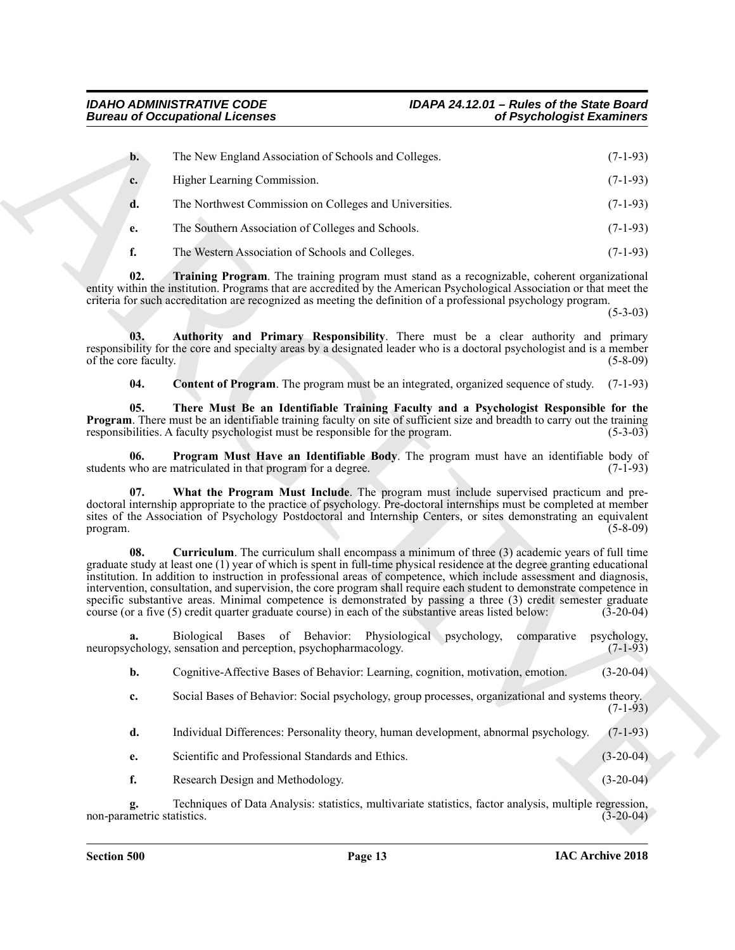<span id="page-12-6"></span><span id="page-12-5"></span><span id="page-12-4"></span><span id="page-12-3"></span><span id="page-12-2"></span><span id="page-12-1"></span><span id="page-12-0"></span>

|                             | <b>Bureau of Occupational Licenses</b>                                                                                                                                                                                                                                                                                                                                                                                                                                                                                                                                                                                                                                                                | of Psychologist Examiners                    |
|-----------------------------|-------------------------------------------------------------------------------------------------------------------------------------------------------------------------------------------------------------------------------------------------------------------------------------------------------------------------------------------------------------------------------------------------------------------------------------------------------------------------------------------------------------------------------------------------------------------------------------------------------------------------------------------------------------------------------------------------------|----------------------------------------------|
| $\mathbf{b}$ .              | The New England Association of Schools and Colleges.                                                                                                                                                                                                                                                                                                                                                                                                                                                                                                                                                                                                                                                  | $(7-1-93)$                                   |
| c.                          | Higher Learning Commission.                                                                                                                                                                                                                                                                                                                                                                                                                                                                                                                                                                                                                                                                           | $(7-1-93)$                                   |
| d.                          | The Northwest Commission on Colleges and Universities.                                                                                                                                                                                                                                                                                                                                                                                                                                                                                                                                                                                                                                                | $(7-1-93)$                                   |
| e.                          | The Southern Association of Colleges and Schools.                                                                                                                                                                                                                                                                                                                                                                                                                                                                                                                                                                                                                                                     | $(7-1-93)$                                   |
| f.                          | The Western Association of Schools and Colleges.                                                                                                                                                                                                                                                                                                                                                                                                                                                                                                                                                                                                                                                      | $(7-1-93)$                                   |
| 02.                         | <b>Training Program.</b> The training program must stand as a recognizable, coherent organizational<br>entity within the institution. Programs that are accredited by the American Psychological Association or that meet the<br>criteria for such accreditation are recognized as meeting the definition of a professional psychology program.                                                                                                                                                                                                                                                                                                                                                       | $(5-3-03)$                                   |
| 03.<br>of the core faculty. | Authority and Primary Responsibility. There must be a clear authority and primary<br>responsibility for the core and specialty areas by a designated leader who is a doctoral psychologist and is a member                                                                                                                                                                                                                                                                                                                                                                                                                                                                                            | $(5-8-09)$                                   |
| 04.                         | <b>Content of Program</b> . The program must be an integrated, organized sequence of study.                                                                                                                                                                                                                                                                                                                                                                                                                                                                                                                                                                                                           | $(7-1-93)$                                   |
| 05.                         | There Must Be an Identifiable Training Faculty and a Psychologist Responsible for the<br><b>Program.</b> There must be an identifiable training faculty on site of sufficient size and breadth to carry out the training<br>responsibilities. A faculty psychologist must be responsible for the program.                                                                                                                                                                                                                                                                                                                                                                                             | $(5-3-03)$                                   |
| 06.                         | Program Must Have an Identifiable Body. The program must have an identifiable body of<br>students who are matriculated in that program for a degree.                                                                                                                                                                                                                                                                                                                                                                                                                                                                                                                                                  | $(7-1-93)$                                   |
| 07.<br>program.             | What the Program Must Include. The program must include supervised practicum and pre-<br>doctoral internship appropriate to the practice of psychology. Pre-doctoral internships must be completed at member<br>sites of the Association of Psychology Postdoctoral and Internship Centers, or sites demonstrating an equivalent                                                                                                                                                                                                                                                                                                                                                                      | $(5-8-09)$                                   |
| 08.                         | Curriculum. The curriculum shall encompass a minimum of three (3) academic years of full time<br>graduate study at least one (1) year of which is spent in full-time physical residence at the degree granting educational<br>institution. In addition to instruction in professional areas of competence, which include assessment and diagnosis,<br>intervention, consultation, and supervision, the core program shall require each student to demonstrate competence in<br>specific substantive areas. Minimal competence is demonstrated by passing a three (3) credit semester graduate<br>course (or a five (5) credit quarter graduate course) in each of the substantive areas listed below: | $(3-20-04)$                                  |
| a.                          | Biological Bases of Behavior: Physiological psychology,<br>neuropsychology, sensation and perception, psychopharmacology.                                                                                                                                                                                                                                                                                                                                                                                                                                                                                                                                                                             | psychology,<br>comparative<br>$(7 - 1 - 93)$ |
| b.                          | Cognitive-Affective Bases of Behavior: Learning, cognition, motivation, emotion.                                                                                                                                                                                                                                                                                                                                                                                                                                                                                                                                                                                                                      | $(3-20-04)$                                  |
| c.                          | Social Bases of Behavior: Social psychology, group processes, organizational and systems theory.                                                                                                                                                                                                                                                                                                                                                                                                                                                                                                                                                                                                      | $(7-1-93)$                                   |
| d.                          | Individual Differences: Personality theory, human development, abnormal psychology.                                                                                                                                                                                                                                                                                                                                                                                                                                                                                                                                                                                                                   | $(7-1-93)$                                   |
| e.                          | Scientific and Professional Standards and Ethics.                                                                                                                                                                                                                                                                                                                                                                                                                                                                                                                                                                                                                                                     | $(3-20-04)$                                  |
| f.                          | Research Design and Methodology.                                                                                                                                                                                                                                                                                                                                                                                                                                                                                                                                                                                                                                                                      | $(3-20-04)$                                  |
|                             |                                                                                                                                                                                                                                                                                                                                                                                                                                                                                                                                                                                                                                                                                                       |                                              |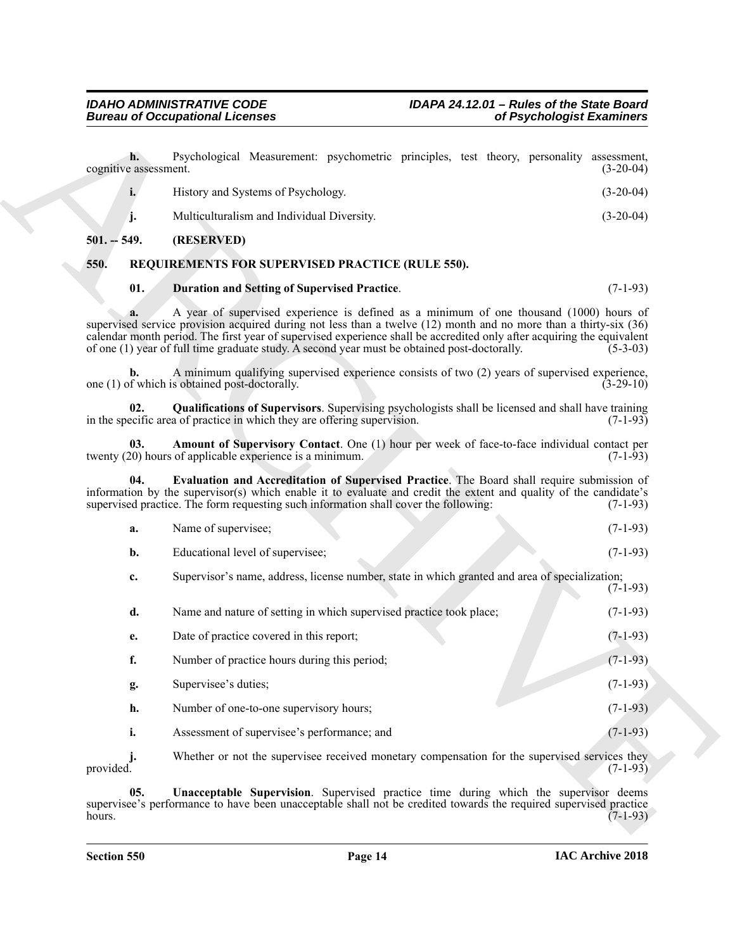| History and Systems of Psychology.         | $(3-20-04)$ |
|--------------------------------------------|-------------|
| Multiculturalism and Individual Diversity. | $(3-20-04)$ |

#### <span id="page-13-0"></span>**501. -- 549. (RESERVED)**

#### <span id="page-13-1"></span>**550. REQUIREMENTS FOR SUPERVISED PRACTICE (RULE 550).**

#### <span id="page-13-6"></span><span id="page-13-4"></span><span id="page-13-2"></span>**01. Duration and Setting of Supervised Practice**. (7-1-93)

<span id="page-13-7"></span><span id="page-13-5"></span><span id="page-13-3"></span>

| a. | Name of supervisee;                                                                            | $(7-1-93)$ |
|----|------------------------------------------------------------------------------------------------|------------|
|    | Educational level of supervisee;                                                               | $(7-1-93)$ |
| c. | Supervisor's name, address, license number, state in which granted and area of specialization; | $(7-1-93)$ |

|                             | <b>Bureau of Occupational Licenses</b>                                                                                                                                                                                                                                                                                                                                                                                                 | of Psychologist Examiners  |
|-----------------------------|----------------------------------------------------------------------------------------------------------------------------------------------------------------------------------------------------------------------------------------------------------------------------------------------------------------------------------------------------------------------------------------------------------------------------------------|----------------------------|
| h.<br>cognitive assessment. | Psychological Measurement: psychometric principles, test theory, personality                                                                                                                                                                                                                                                                                                                                                           | assessment,<br>$(3-20-04)$ |
| i.                          | History and Systems of Psychology.                                                                                                                                                                                                                                                                                                                                                                                                     | $(3-20-04)$                |
| j.                          | Multiculturalism and Individual Diversity.                                                                                                                                                                                                                                                                                                                                                                                             | $(3-20-04)$                |
| $501. - 549.$               | (RESERVED)                                                                                                                                                                                                                                                                                                                                                                                                                             |                            |
| 550.                        | REQUIREMENTS FOR SUPERVISED PRACTICE (RULE 550).                                                                                                                                                                                                                                                                                                                                                                                       |                            |
| 01.                         | <b>Duration and Setting of Supervised Practice.</b>                                                                                                                                                                                                                                                                                                                                                                                    | $(7-1-93)$                 |
| a.                          | A year of supervised experience is defined as a minimum of one thousand (1000) hours of<br>supervised service provision acquired during not less than a twelve (12) month and no more than a thirty-six (36)<br>calendar month period. The first year of supervised experience shall be accredited only after acquiring the equivalent<br>of one (1) year of full time graduate study. A second year must be obtained post-doctorally. | $(5-3-03)$                 |
| b.                          | A minimum qualifying supervised experience consists of two (2) years of supervised experience,<br>one (1) of which is obtained post-doctorally.                                                                                                                                                                                                                                                                                        | $(3-29-10)$                |
| 02.                         | <b>Qualifications of Supervisors.</b> Supervising psychologists shall be licensed and shall have training<br>in the specific area of practice in which they are offering supervision.                                                                                                                                                                                                                                                  | $(7-1-93)$                 |
| 03.                         | Amount of Supervisory Contact. One (1) hour per week of face-to-face individual contact per<br>twenty (20) hours of applicable experience is a minimum.                                                                                                                                                                                                                                                                                | $(7-1-93)$                 |
| 04.                         | Evaluation and Accreditation of Supervised Practice. The Board shall require submission of<br>information by the supervisor(s) which enable it to evaluate and credit the extent and quality of the candidate's<br>supervised practice. The form requesting such information shall cover the following:                                                                                                                                | $(7-1-93)$                 |
| a.                          | Name of supervisee;                                                                                                                                                                                                                                                                                                                                                                                                                    | $(7-1-93)$                 |
| $\mathbf{b}$ .              | Educational level of supervisee;                                                                                                                                                                                                                                                                                                                                                                                                       | $(7-1-93)$                 |
| c.                          | Supervisor's name, address, license number, state in which granted and area of specialization;                                                                                                                                                                                                                                                                                                                                         | $(7-1-93)$                 |
| d.                          | Name and nature of setting in which supervised practice took place;                                                                                                                                                                                                                                                                                                                                                                    | $(7-1-93)$                 |
| e.                          | Date of practice covered in this report;                                                                                                                                                                                                                                                                                                                                                                                               | $(7-1-93)$                 |
| f.                          | Number of practice hours during this period;                                                                                                                                                                                                                                                                                                                                                                                           | $(7-1-93)$                 |
| g.                          | Supervisee's duties;                                                                                                                                                                                                                                                                                                                                                                                                                   | $(7-1-93)$                 |
| h.                          | Number of one-to-one supervisory hours;                                                                                                                                                                                                                                                                                                                                                                                                | $(7-1-93)$                 |
| i.                          | Assessment of supervisee's performance; and                                                                                                                                                                                                                                                                                                                                                                                            | $(7-1-93)$                 |
| j.<br>provided.             | Whether or not the supervisee received monetary compensation for the supervised services they                                                                                                                                                                                                                                                                                                                                          | $(7-1-93)$                 |
| 05.                         | Unacceptable Supervision. Supervised practice time during which the supervisor deems<br>supervisee's performance to have been unacceptable shall not be credited towards the required supervised practice                                                                                                                                                                                                                              |                            |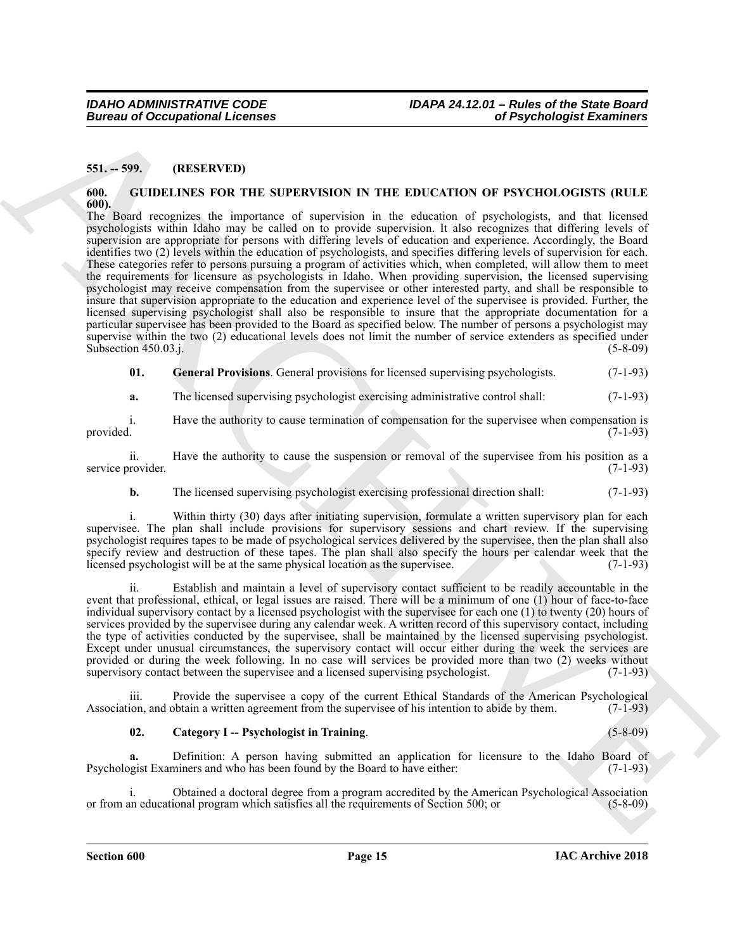### <span id="page-14-0"></span>**551. -- 599. (RESERVED)**

#### <span id="page-14-2"></span><span id="page-14-1"></span>**600. GUIDELINES FOR THE SUPERVISION IN THE EDUCATION OF PSYCHOLOGISTS (RULE 600).**

**Europea of Occupational Licences**<br>
SHow 1995 RV-TH)<br>
(a) (RSS RV-TH)<br>
(a) (RSS RV-TH)<br>
(a) (RSS RV-TH)<br>
(a) (RSS RV-TH)<br>
(a) (RSS RV-TH)<br>
(a) (RSS RV-TH)<br>
(a) (RSS RV-TH)<br>
(a) (RSS RV-TH)<br>
(a) (RSS RV-TH)<br>
(a) (RSS RV-TH The Board recognizes the importance of supervision in the education of psychologists, and that licensed psychologists within Idaho may be called on to provide supervision. It also recognizes that differing levels of supervision are appropriate for persons with differing levels of education and experience. Accordingly, the Board identifies two (2) levels within the education of psychologists, and specifies differing levels of supervision for each. These categories refer to persons pursuing a program of activities which, when completed, will allow them to meet the requirements for licensure as psychologists in Idaho. When providing supervision, the licensed supervising psychologist may receive compensation from the supervisee or other interested party, and shall be responsible to insure that supervision appropriate to the education and experience level of the supervisee is provided. Further, the licensed supervising psychologist shall also be responsible to insure that the appropriate documentation for a particular supervisee has been provided to the Board as specified below. The number of persons a psychologist may supervise within the two (2) educational levels does not limit the number of service extenders as specified under  $\frac{1}{5-8-09}$  (5-8-09)

<span id="page-14-4"></span>**01. General Provisions**. General provisions for licensed supervising psychologists. (7-1-93)

**a.** The licensed supervising psychologist exercising administrative control shall:  $(7-1-93)$ 

i. Have the authority to cause termination of compensation for the supervisee when compensation is provided. (7-1-93)

ii. Have the authority to cause the suspension or removal of the supervisee from his position as a rovider. (7-1-93) service provider.

**b.** The licensed supervising psychologist exercising professional direction shall: (7-1-93)

i. Within thirty (30) days after initiating supervision, formulate a written supervisory plan for each supervisee. The plan shall include provisions for supervisory sessions and chart review. If the supervising psychologist requires tapes to be made of psychological services delivered by the supervisee, then the plan shall also specify review and destruction of these tapes. The plan shall also specify the hours per calendar week that the licensed psychologist will be at the same physical location as the supervisee. (7-1-93)

ii. Establish and maintain a level of supervisory contact sufficient to be readily accountable in the event that professional, ethical, or legal issues are raised. There will be a minimum of one (1) hour of face-to-face individual supervisory contact by a licensed psychologist with the supervisee for each one (1) to twenty (20) hours of services provided by the supervisee during any calendar week. A written record of this supervisory contact, including the type of activities conducted by the supervisee, shall be maintained by the licensed supervising psychologist. Except under unusual circumstances, the supervisory contact will occur either during the week the services are provided or during the week following. In no case will services be provided more than two (2) weeks without supervisory contact between the supervisee and a licensed supervising psychologist. (7-1-93)

iii. Provide the supervisee a copy of the current Ethical Standards of the American Psychological Association, and obtain a written agreement from the supervisee of his intention to abide by them. (7-1-93)

#### <span id="page-14-3"></span>**02. Category I -- Psychologist in Training**. (5-8-09)

**a.** Definition: A person having submitted an application for licensure to the Idaho Board of Psychologist Examiners and who has been found by the Board to have either: (7-1-93)

i. Obtained a doctoral degree from a program accredited by the American Psychological Association<br>an educational program which satisfies all the requirements of Section 500; or (5-8-09) or from an educational program which satisfies all the requirements of Section 500; or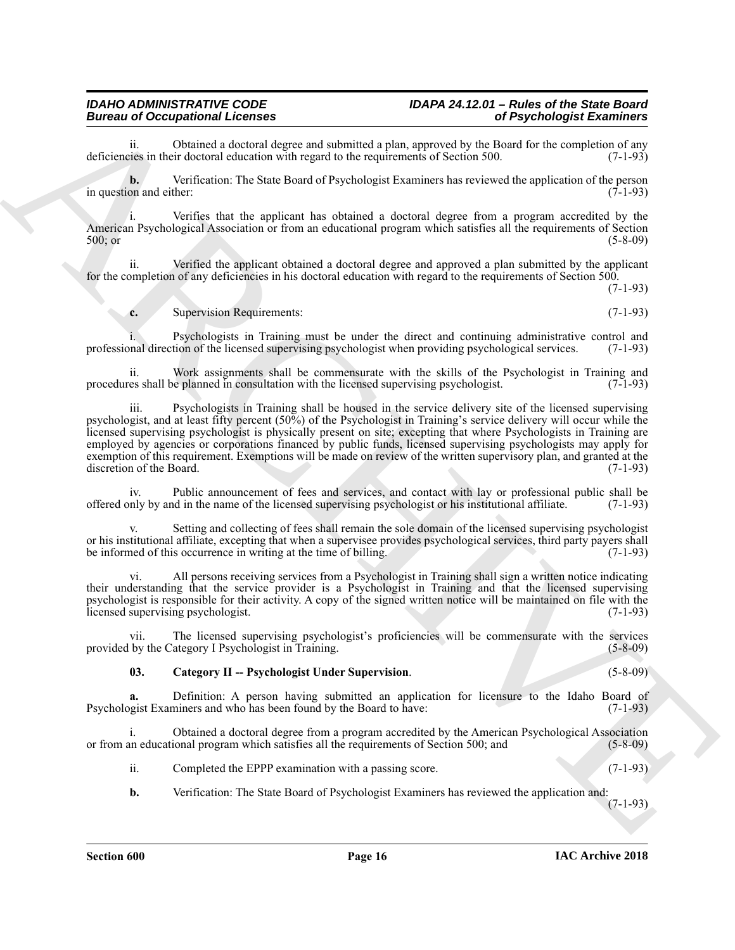### *Bureau of Occupational Licenses of Psychologist Examiners*

ii. Obtained a doctoral degree and submitted a plan, approved by the Board for the completion of any is in their doctoral education with regard to the requirements of Section 500. (7-1-93) deficiencies in their doctoral education with regard to the requirements of Section 500.

**b.** Verification: The State Board of Psychologist Examiners has reviewed the application of the person in question and either: (7-1-93)

i. Verifies that the applicant has obtained a doctoral degree from a program accredited by the American Psychological Association or from an educational program which satisfies all the requirements of Section 500; or (5-8-09)

ii. Verified the applicant obtained a doctoral degree and approved a plan submitted by the applicant for the completion of any deficiencies in his doctoral education with regard to the requirements of Section 500.

(7-1-93)

**c.** Supervision Requirements: (7-1-93)

i. Psychologists in Training must be under the direct and continuing administrative control and professional direction of the licensed supervising psychologist when providing psychological services. (7-1-93)

ii. Work assignments shall be commensurate with the skills of the Psychologist in Training and es shall be planned in consultation with the licensed supervising psychologist. (7-1-93) procedures shall be planned in consultation with the licensed supervising psychologist.

Bureau of Occupation at Lemma counter and the main energy control of Psychological Examines<br>
Additional control objects the control of the control of the state of the state of the state of the state of the state of the st iii. Psychologists in Training shall be housed in the service delivery site of the licensed supervising psychologist, and at least fifty percent (50%) of the Psychologist in Training's service delivery will occur while the licensed supervising psychologist is physically present on site; excepting that where Psychologists in Training are employed by agencies or corporations financed by public funds, licensed supervising psychologists may apply for exemption of this requirement. Exemptions will be made on review of the written supervisory plan, and granted at the discretion of the Board. (7-1-93)

iv. Public announcement of fees and services, and contact with lay or professional public shall be nly by and in the name of the licensed supervising psychologist or his institutional affiliate. (7-1-93) offered only by and in the name of the licensed supervising psychologist or his institutional affiliate. (7-1-93)

Setting and collecting of fees shall remain the sole domain of the licensed supervising psychologist or his institutional affiliate, excepting that when a supervisee provides psychological services, third party payers shall<br>be informed of this occurrence in writing at the time of billing. (7-1-93) be informed of this occurrence in writing at the time of billing.

vi. All persons receiving services from a Psychologist in Training shall sign a written notice indicating their understanding that the service provider is a Psychologist in Training and that the licensed supervising psychologist is responsible for their activity. A copy of the signed written notice will be maintained on file with the licensed supervising psychologist. (7-1-93)

vii. The licensed supervising psychologist's proficiencies will be commensurate with the services provided by the Category I Psychologist in Training. (5-8-09)

#### <span id="page-15-0"></span>**03. Category II -- Psychologist Under Supervision**. (5-8-09)

**a.** Definition: A person having submitted an application for licensure to the Idaho Board of Psychologist Examiners and who has been found by the Board to have: (7-1-93)

i. Obtained a doctoral degree from a program accredited by the American Psychological Association or from an educational program which satisfies all the requirements of Section 500; and (5-8-09)

ii. Completed the EPPP examination with a passing score. (7-1-93)

**b.** Verification: The State Board of Psychologist Examiners has reviewed the application and:

(7-1-93)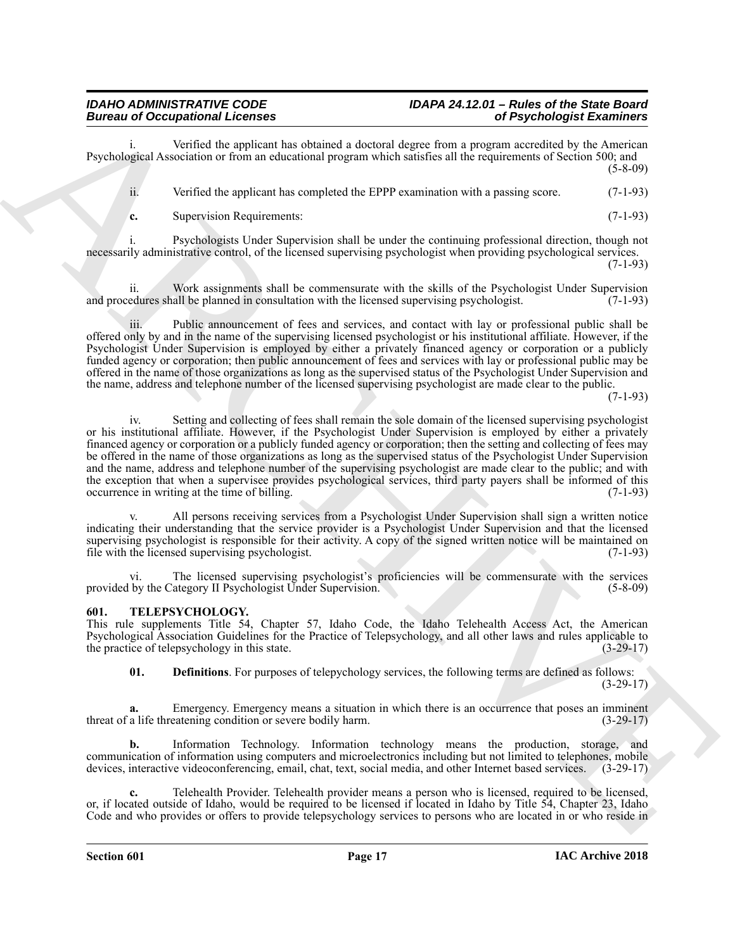## *IDAHO ADMINISTRATIVE CODE IDAPA 24.12.01 – Rules of the State Board*

Verified the applicant has obtained a doctoral degree from a program accredited by the American Psychological Association or from an educational program which satisfies all the requirements of Section 500; and (5-8-09)

ii. Verified the applicant has completed the EPPP examination with a passing score. (7-1-93)

**c.** Supervision Requirements: (7-1-93)

i. Psychologists Under Supervision shall be under the continuing professional direction, though not necessarily administrative control, of the licensed supervising psychologist when providing psychological services.

(7-1-93)

ii. Work assignments shall be commensurate with the skills of the Psychologist Under Supervision and procedures shall be planned in consultation with the licensed supervising psychologist. (7-1-93)

Public announcement of fees and services, and contact with lay or professional public shall be offered only by and in the name of the supervising licensed psychologist or his institutional affiliate. However, if the Psychologist Under Supervision is employed by either a privately financed agency or corporation or a publicly funded agency or corporation; then public announcement of fees and services with lay or professional public may be offered in the name of those organizations as long as the supervised status of the Psychologist Under Supervision and the name, address and telephone number of the licensed supervising psychologist are made clear to the public.

(7-1-93)

Bureau of Occupation at Learning in the system of Psychology and the system of the system of the system of the system of the system of the system of the system of the system of the system of the system of the system of th iv. Setting and collecting of fees shall remain the sole domain of the licensed supervising psychologist or his institutional affiliate. However, if the Psychologist Under Supervision is employed by either a privately financed agency or corporation or a publicly funded agency or corporation; then the setting and collecting of fees may be offered in the name of those organizations as long as the supervised status of the Psychologist Under Supervision and the name, address and telephone number of the supervising psychologist are made clear to the public; and with the exception that when a supervisee provides psychological services, third party payers shall be informed of this occurrence in writing at the time of billing. (7-1-93)

All persons receiving services from a Psychologist Under Supervision shall sign a written notice indicating their understanding that the service provider is a Psychologist Under Supervision and that the licensed supervising psychologist is responsible for their activity. A copy of the signed written notice will be maintained on file with the licensed supervising psychologist. (7-1-93)

vi. The licensed supervising psychologist's proficiencies will be commensurate with the services provided by the Category II Psychologist Under Supervision. (5-8-09)

#### <span id="page-16-1"></span><span id="page-16-0"></span>**601. TELEPSYCHOLOGY.**

This rule supplements Title 54, Chapter 57, Idaho Code, the Idaho Telehealth Access Act, the American Psychological Association Guidelines for the Practice of Telepsychology, and all other laws and rules applicable to the practice of telepsychology in this state. (3-29-17)

<span id="page-16-2"></span>**01. Definitions**. For purposes of telepychology services, the following terms are defined as follows:  $(3-29-17)$ 

Emergency. Emergency means a situation in which there is an occurrence that poses an imminent threat of a life threatening condition or severe bodily harm. (3-29-17)

**b.** Information Technology. Information technology means the production, storage, and communication of information using computers and microelectronics including but not limited to telephones, mobile devices, interactive videoconferencing, email, chat, text, social media, and other Internet based services. (3-29-17)

**c.** Telehealth Provider. Telehealth provider means a person who is licensed, required to be licensed, or, if located outside of Idaho, would be required to be licensed if located in Idaho by Title 54, Chapter 23, Idaho Code and who provides or offers to provide telepsychology services to persons who are located in or who reside in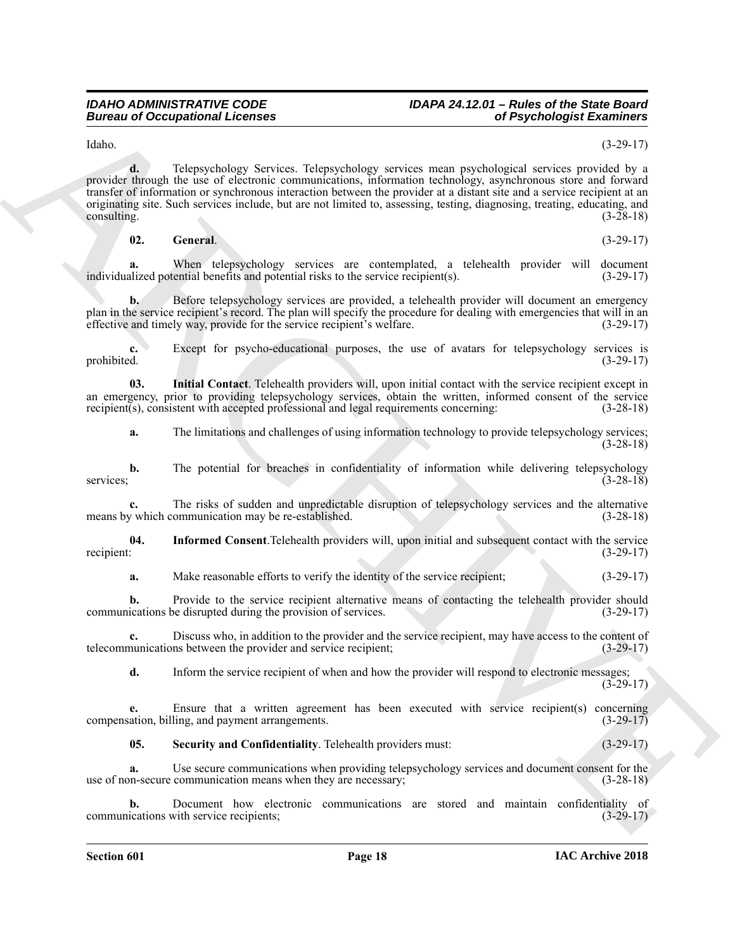Idaho. (3-29-17)

Europa of Occupational Lebens<br>
Voltain 1980 and the probability and continue the probability and continue the probability and continue the probability and continue the probability and continue the continue of the probabil **d.** Telepsychology Services. Telepsychology services mean psychological services provided by a provider through the use of electronic communications, information technology, asynchronous store and forward transfer of information or synchronous interaction between the provider at a distant site and a service recipient at an originating site. Such services include, but are not limited to, assessing, testing, diagnosing, treating, educating, and consulting. (3-28-18)  $\cos \theta$  (3-28-18)

<span id="page-17-0"></span>**02. General**. (3-29-17)

**a.** When telepsychology services are contemplated, a telehealth provider will document alized potential benefits and potential risks to the service recipient(s). (3-29-17) individualized potential benefits and potential risks to the service  $recipient(s)$ .

**b.** Before telepsychology services are provided, a telehealth provider will document an emergency plan in the service recipient's record. The plan will specify the procedure for dealing with emergencies that will in an effective and timely way, provide for the service recipient's welfare. (3-29-17)

**c.** Except for psycho-educational purposes, the use of avatars for telepsychology services is prohibited.  $(3-29-17)$ prohibited. (3-29-17)

**03. Initial Contact**. Telehealth providers will, upon initial contact with the service recipient except in an emergency, prior to providing telepsychology services, obtain the written, informed consent of the service recipient(s), consistent with accepted professional and legal requirements concerning: (3-28-18) recipient(s), consistent with accepted professional and legal requirements concerning:

<span id="page-17-2"></span>**a.** The limitations and challenges of using information technology to provide telepsychology services; (3-28-18)

**b.** The potential for breaches in confidentiality of information while delivering telepsychology (3-28-18) services; (3-28-18)

**c.** The risks of sudden and unpredictable disruption of telepsychology services and the alternative means by which communication may be re-established. (3-28-18)

**04.** Informed Consent.Telehealth providers will, upon initial and subsequent contact with the service recipient: (3-29-17) recipient:  $(3-29-17)$ 

<span id="page-17-1"></span>**a.** Make reasonable efforts to verify the identity of the service recipient; (3-29-17)

**b.** Provide to the service recipient alternative means of contacting the telehealth provider should ications be disrupted during the provision of services. (3-29-17) communications be disrupted during the provision of services.

**c.** Discuss who, in addition to the provider and the service recipient, may have access to the content of telecommunications between the provider and service recipient; (3-29-17)

**d.** Inform the service recipient of when and how the provider will respond to electronic messages;  $(3-29-17)$ 

**e.** Ensure that a written agreement has been executed with service recipient(s) concerning compensation, billing, and payment arrangements. (3-29-17)

<span id="page-17-3"></span>**05. Security and Confidentiality**. Telehealth providers must: (3-29-17)

**a.** Use secure communications when providing telepsychology services and document consent for the use of non-secure communication means when they are necessary; (3-28-18)

**b.** Document how electronic communications are stored and maintain confidentiality of communications with service recipients; (3-29-17)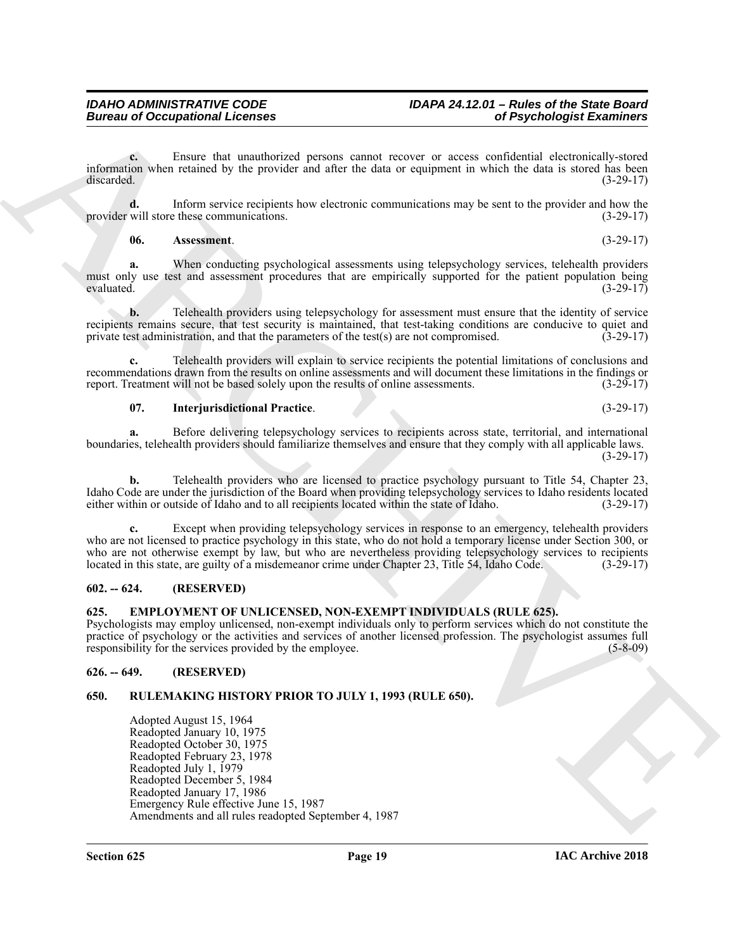**c.** Ensure that unauthorized persons cannot recover or access confidential electronically-stored information when retained by the provider and after the data or equipment in which the data is stored has been discarded. (3-29-17)

**d.** Inform service recipients how electronic communications may be sent to the provider and how the will store these communications. (3-29-17) provider will store these communications.

#### <span id="page-18-6"></span>**06. Assessment**. (3-29-17)

**a.** When conducting psychological assessments using telepsychology services, telehealth providers must only use test and assessment procedures that are empirically supported for the patient population being evaluated. (3-29-17) evaluated.  $(3-29-17)$ 

**b.** Telehealth providers using telepsychology for assessment must ensure that the identity of service recipients remains secure, that test security is maintained, that test-taking conditions are conducive to quiet and private test administration, and that the parameters of the test(s) are not compromised. (3-29-17) private test administration, and that the parameters of the test( $s$ ) are not compromised.

**c.** Telehealth providers will explain to service recipients the potential limitations of conclusions and recommendations drawn from the results on online assessments and will document these limitations in the findings or report. Treatment will not be based solely upon the results of online assessments. (3-29-17)

#### <span id="page-18-7"></span>**07. Interjurisdictional Practice**. (3-29-17)

**a.** Before delivering telepsychology services to recipients across state, territorial, and international boundaries, telehealth providers should familiarize themselves and ensure that they comply with all applicable laws. (3-29-17)

**b.** Telehealth providers who are licensed to practice psychology pursuant to Title 54, Chapter 23, Idaho Code are under the jurisdiction of the Board when providing telepsychology services to Idaho residents located either within or outside of Idaho and to all recipients located within the state of Idaho.

**c.** Except when providing telepsychology services in response to an emergency, telehealth providers who are not licensed to practice psychology in this state, who do not hold a temporary license under Section 300, or who are not otherwise exempt by law, but who are nevertheless providing telepsychology services to recipients located in this state, are guilty of a misdemeanor crime under Chapter 23, Title 54, Idaho Code. (3-29-17)

#### <span id="page-18-0"></span>**602. -- 624. (RESERVED)**

<span id="page-18-4"></span><span id="page-18-1"></span>**625. EMPLOYMENT OF UNLICENSED, NON-EXEMPT INDIVIDUALS (RULE 625).** Psychologists may employ unlicensed, non-exempt individuals only to perform services which do not constitute the practice of psychology or the activities and services of another licensed profession. The psychologist assumes full responsibility for the services provided by the employee. (5-8-09)

### <span id="page-18-2"></span>**626. -- 649. (RESERVED)**

#### <span id="page-18-5"></span><span id="page-18-3"></span>**650. RULEMAKING HISTORY PRIOR TO JULY 1, 1993 (RULE 650).**

Bureau of Occupational Lebence<br>
Lebence Lebence International Detroit cause of the state of the state of the state of the state of the state of the state of the state of the state of the state of the state of the state of Adopted August 15, 1964 Readopted January 10, 1975 Readopted October 30, 1975 Readopted February 23, 1978 Readopted July 1, 1979 Readopted December 5, 1984 Readopted January 17, 1986 Emergency Rule effective June 15, 1987 Amendments and all rules readopted September 4, 1987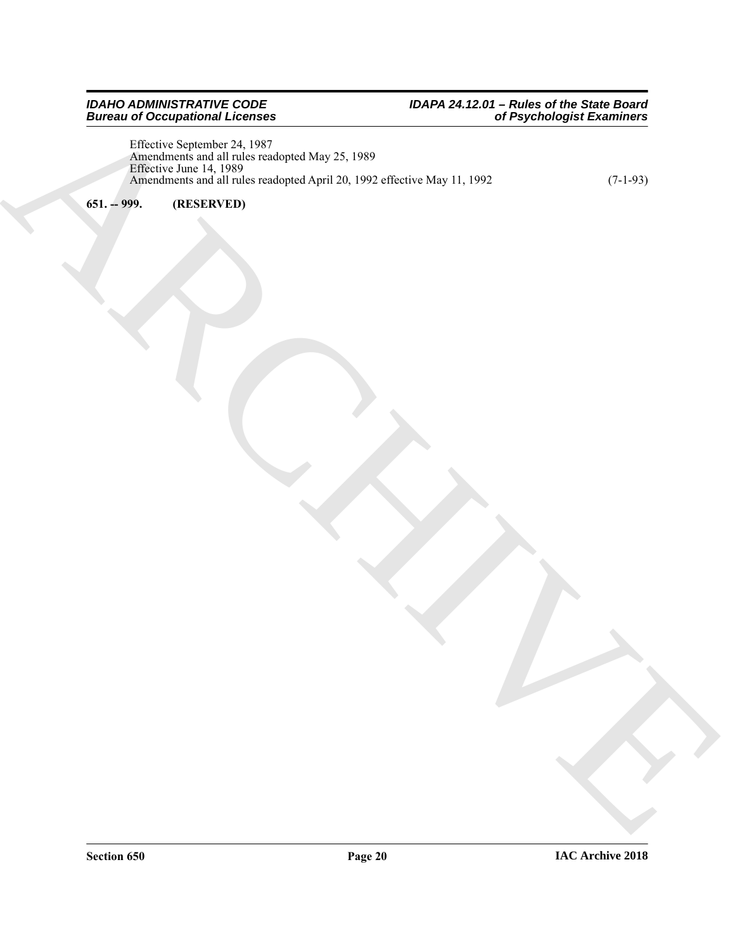ARCHIVE Effective September 24, 1987 Amendments and all rules readopted May 25, 1989 Effective June 14, 1989 Amendments and all rules readopted April 20, 1992 effective May 11, 1992 (7-1-93)

<span id="page-19-0"></span>**651. -- 999. (RESERVED)**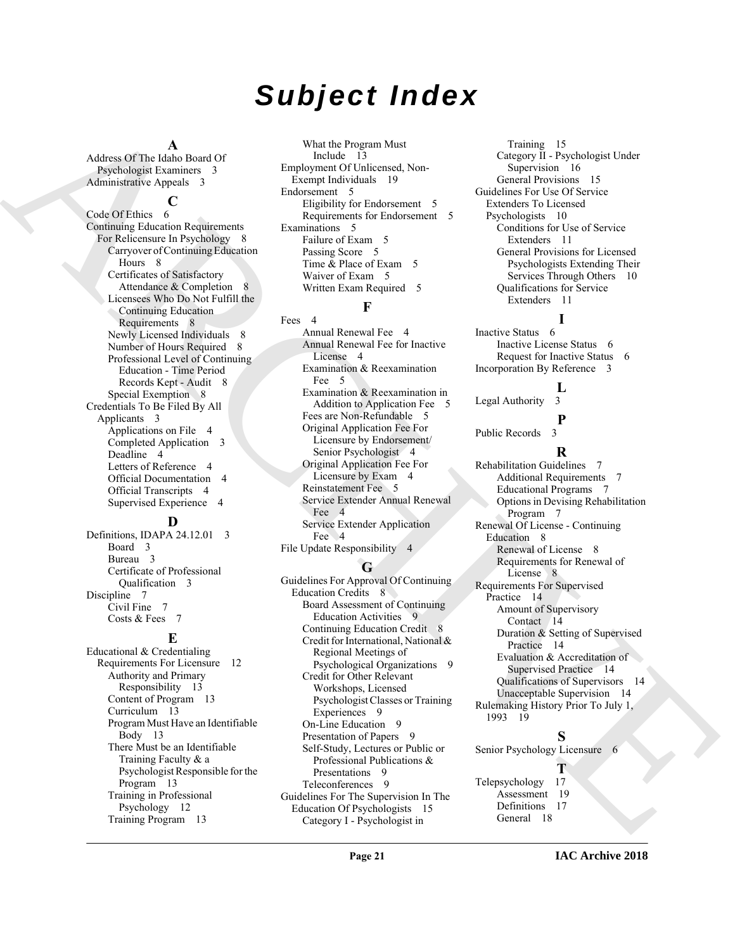## *Subject Index*

#### **A**

Address Of The Idaho Board Of Psychologist Examiners 3 Administrative Appeals 3

#### **C**

[A](#page-2-12)dison O.[R](#page-7-7). [E](#page-18-5)xhibit Research Congress of the control of the control of the control of the control of the control of the control of the control of the control of the control of the control of the control of the control of Code Of Ethics 6 Continuing Education Requirements For Relicensure In Psychology 8 Carryover of Continuing Education Hours 8 Certificates of Satisfactory Attendance & Completion 8 Licensees Who Do Not Fulfill the Continuing Education Requirements 8 Newly Licensed Individuals 8 Number of Hours Required 8 Professional Level of Continuing Education - Time Period Records Kept - Audit 8 Special Exemption 8 Credentials To Be Filed By All Applicants 3 Applications on File 4 Completed Application 3 Deadline 4 Letters of Reference 4 Official Documentation 4 Official Transcripts 4 Supervised Experience 4

#### **D**

Definitions, IDAPA 24.12.01 3 Board 3 Bureau 3 Certificate of Professional Qualification 3 Discipline 7 Civil Fine 7 Costs & Fees 7

#### **E**

Educational & Credentialing Requirements For Licensure 12 Authority and Primary Responsibility 13 Content of Program 13 Curriculum 13 Program Must Have an Identifiable Body 13 There Must be an Identifiable Training Faculty & a Psychologist Responsible for the Program 13 Training in Professional Psychology 12 Training Program 13

What the Program Must Include 13 Employment Of Unlicensed, Non-Exempt Individuals 19 Endorsement 5 Eligibility for Endorsement 5 Requirements for Endorsement 5 Examinations 5 Failure of Exam 5 Passing Score 5 Time & Place of Exam 5 Waiver of Exam 5 Written Exam Required 5

#### **F**

Fees<sub>4</sub> Annual Renewal Fee 4 Annual Renewal Fee for Inactive License 4 Examination & Reexamination Fee 5 Examination & Reexamination in Addition to Application Fee 5 Fees are Non-Refundable 5 Original Application Fee For Licensure by Endorsement/ Senior Psychologist 4 Original Application Fee For Licensure by Exam 4 Reinstatement Fee 5 Service Extender Annual Renewal Fee 4 Service Extender Application Fee 4 File Update Responsibility 4

#### **G**

Guidelines For Approval Of Continuing Education Credits 8 Board Assessment of Continuing Education Activities 9 Continuing Education Credit 8 Credit for International, National & Regional Meetings of Psychological Organizations 9 Credit for Other Relevant Workshops, Licensed Psychologist Classes or Training Experiences 9 On-Line Education 9 Presentation of Papers 9 Self-Study, Lectures or Public or Professional Publications & Presentations 9 Teleconferences 9 Guidelines For The Supervision In The Education Of Psychologists 15 Category I - Psychologist in

Training 15 Category II - Psychologist Under Supervision 16 General Provisions 15 Guidelines For Use Of Service Extenders To Licensed Psychologists 10 Conditions for Use of Service Extenders 11 General Provisions for Licensed Psychologists Extending Their Services Through Others 10 Qualifications for Service Extenders 11

#### **I**

Inactive Status 6 Inactive License Status 6 Request for Inactive Status 6 Incorporation By Reference 3

### $\frac{L}{3}$

**P**

Legal Authority

Public Records 3 **R** Rehabilitation Guidelines 7 Additional Requirements 7 Educational Programs 7 Options in Devising Rehabilitation Program 7 Renewal Of License - Continuing Education 8 Renewal of License 8 Requirements for Renewal of License 8 Requirements For Supervised Practice 14 Amount of Supervisory Contact 14 Duration & Setting of Supervised Practice 14 Evaluation & Accreditation of Supervised Practice 14 Qualifications of Supervisors 14 Unacceptable Supervision 14 Rulemaking History Prior To July 1, 1993 19

### **S**

**T**

Senior Psychology Licensure 6

Telepsychology 17 Assessment 19 Definitions 17 General 18